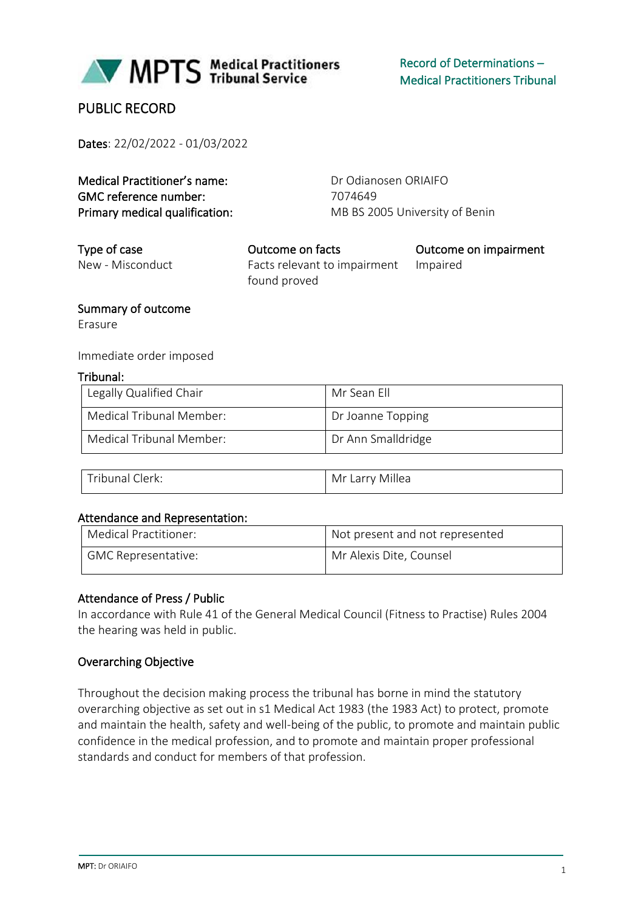

## PUBLIC RECORD

Dates: 22/02/2022 - 01/03/2022

| Medical Practitioner's name:   | Dr Odianosen ORIAIFO           |
|--------------------------------|--------------------------------|
| GMC reference number:          | 7074649                        |
| Primary medical qualification: | MB BS 2005 University of Benin |

| Type of case     | Outcome on facts             | Outcome on impairment |
|------------------|------------------------------|-----------------------|
| New - Misconduct | Facts relevant to impairment | Impaired              |
|                  | found proved                 |                       |

#### Summary of outcome

Erasure

#### Immediate order imposed

#### Tribunal:

| Legally Qualified Chair  | Mr Sean Fll        |
|--------------------------|--------------------|
| Medical Tribunal Member: | Dr Joanne Topping  |
| Medical Tribunal Member: | Dr Ann Smalldridge |

| $\rightarrow$<br>rıhuns<br>ilerk.<br>ີ | $-111$<br>Mr<br>∟arr <sup>,</sup><br>Millea<br>$\mathbf{v}$ |
|----------------------------------------|-------------------------------------------------------------|
|----------------------------------------|-------------------------------------------------------------|

#### Attendance and Representation:

| Medical Practitioner: | Not present and not represented |
|-----------------------|---------------------------------|
| GMC Representative:   | Mr Alexis Dite, Counsel         |

#### Attendance of Press / Public

In accordance with Rule 41 of the General Medical Council (Fitness to Practise) Rules 2004 the hearing was held in public.

#### Overarching Objective

Throughout the decision making process the tribunal has borne in mind the statutory overarching objective as set out in s1 Medical Act 1983 (the 1983 Act) to protect, promote and maintain the health, safety and well-being of the public, to promote and maintain public confidence in the medical profession, and to promote and maintain proper professional standards and conduct for members of that profession.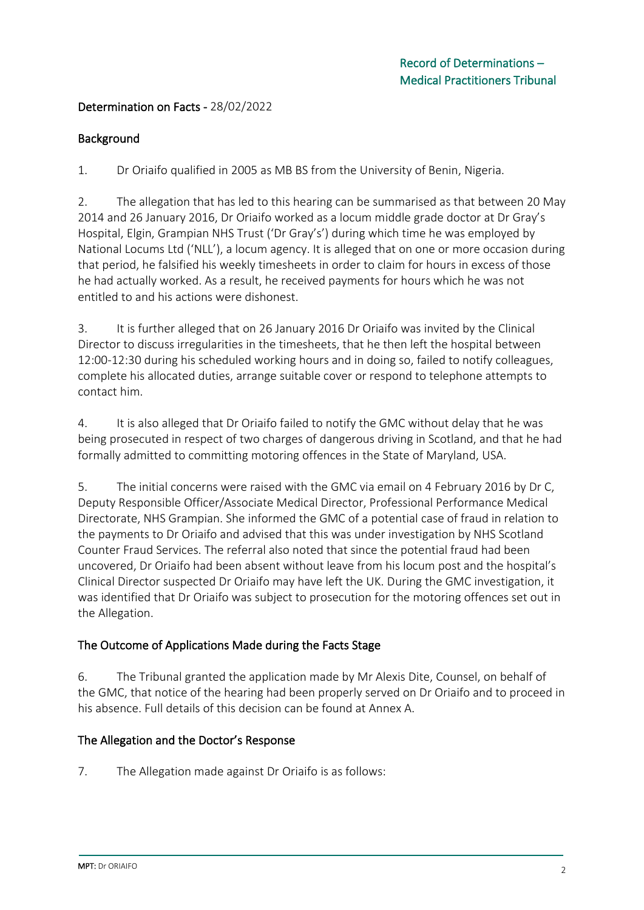### Determination on Facts - 28/02/2022

#### Background

1. Dr Oriaifo qualified in 2005 as MB BS from the University of Benin, Nigeria.

2. The allegation that has led to this hearing can be summarised as that between 20 May 2014 and 26 January 2016, Dr Oriaifo worked as a locum middle grade doctor at Dr Gray's Hospital, Elgin, Grampian NHS Trust ('Dr Gray's') during which time he was employed by National Locums Ltd ('NLL'), a locum agency. It is alleged that on one or more occasion during that period, he falsified his weekly timesheets in order to claim for hours in excess of those he had actually worked. As a result, he received payments for hours which he was not entitled to and his actions were dishonest.

3. It is further alleged that on 26 January 2016 Dr Oriaifo was invited by the Clinical Director to discuss irregularities in the timesheets, that he then left the hospital between 12:00-12:30 during his scheduled working hours and in doing so, failed to notify colleagues, complete his allocated duties, arrange suitable cover or respond to telephone attempts to contact him.

4. It is also alleged that Dr Oriaifo failed to notify the GMC without delay that he was being prosecuted in respect of two charges of dangerous driving in Scotland, and that he had formally admitted to committing motoring offences in the State of Maryland, USA.

5. The initial concerns were raised with the GMC via email on 4 February 2016 by Dr C, Deputy Responsible Officer/Associate Medical Director, Professional Performance Medical Directorate, NHS Grampian. She informed the GMC of a potential case of fraud in relation to the payments to Dr Oriaifo and advised that this was under investigation by NHS Scotland Counter Fraud Services. The referral also noted that since the potential fraud had been uncovered, Dr Oriaifo had been absent without leave from his locum post and the hospital's Clinical Director suspected Dr Oriaifo may have left the UK. During the GMC investigation, it was identified that Dr Oriaifo was subject to prosecution for the motoring offences set out in the Allegation.

### The Outcome of Applications Made during the Facts Stage

6. The Tribunal granted the application made by Mr Alexis Dite, Counsel, on behalf of the GMC, that notice of the hearing had been properly served on Dr Oriaifo and to proceed in his absence. Full details of this decision can be found at Annex A.

### The Allegation and the Doctor's Response

7. The Allegation made against Dr Oriaifo is as follows: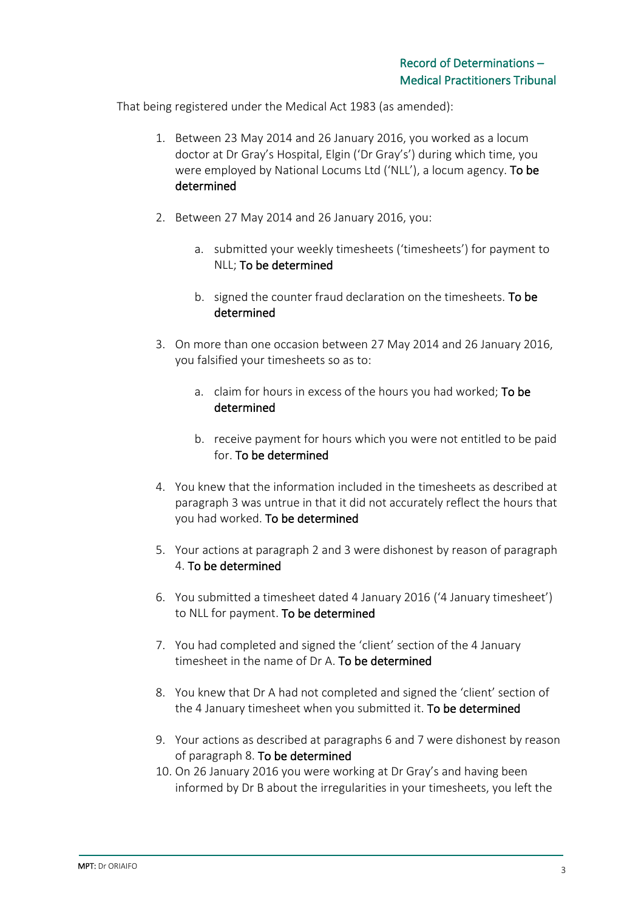That being registered under the Medical Act 1983 (as amended):

- 1. Between 23 May 2014 and 26 January 2016, you worked as a locum doctor at Dr Gray's Hospital, Elgin ('Dr Gray's') during which time, you were employed by National Locums Ltd ('NLL'), a locum agency. To be determined
- 2. Between 27 May 2014 and 26 January 2016, you:
	- a. submitted your weekly timesheets ('timesheets') for payment to NLL; To be determined
	- b. signed the counter fraud declaration on the timesheets. To be determined
- 3. On more than one occasion between 27 May 2014 and 26 January 2016, you falsified your timesheets so as to:
	- a. claim for hours in excess of the hours you had worked; To be determined
	- b. receive payment for hours which you were not entitled to be paid for. To be determined
- 4. You knew that the information included in the timesheets as described at paragraph 3 was untrue in that it did not accurately reflect the hours that you had worked. To be determined
- 5. Your actions at paragraph 2 and 3 were dishonest by reason of paragraph 4. To be determined
- 6. You submitted a timesheet dated 4 January 2016 ('4 January timesheet') to NLL for payment. To be determined
- 7. You had completed and signed the 'client' section of the 4 January timesheet in the name of Dr A. To be determined
- 8. You knew that Dr A had not completed and signed the 'client' section of the 4 January timesheet when you submitted it. To be determined
- 9. Your actions as described at paragraphs 6 and 7 were dishonest by reason of paragraph 8. To be determined
- 10. On 26 January 2016 you were working at Dr Gray's and having been informed by Dr B about the irregularities in your timesheets, you left the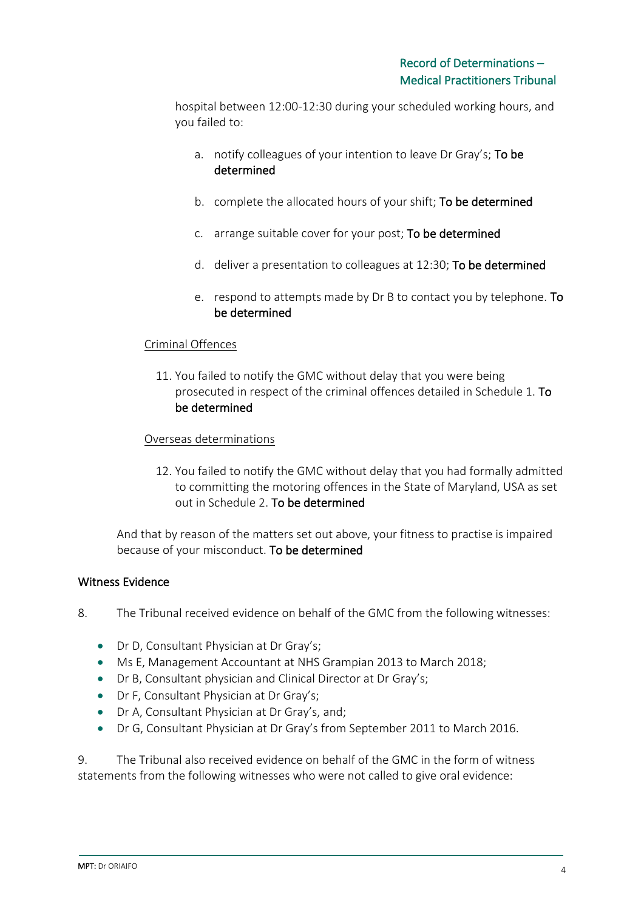hospital between 12:00-12:30 during your scheduled working hours, and you failed to:

- a. notify colleagues of your intention to leave Dr Gray's; To be determined
- b. complete the allocated hours of your shift; To be determined
- c. arrange suitable cover for your post; To be determined
- d. deliver a presentation to colleagues at 12:30; To be determined
- e. respond to attempts made by Dr B to contact you by telephone. To be determined

#### Criminal Offences

11. You failed to notify the GMC without delay that you were being prosecuted in respect of the criminal offences detailed in Schedule 1. To be determined

#### Overseas determinations

12. You failed to notify the GMC without delay that you had formally admitted to committing the motoring offences in the State of Maryland, USA as set out in Schedule 2. To be determined

And that by reason of the matters set out above, your fitness to practise is impaired because of your misconduct. To be determined

#### Witness Evidence

- 8. The Tribunal received evidence on behalf of the GMC from the following witnesses:
	- Dr D, Consultant Physician at Dr Gray's;
	- Ms E, Management Accountant at NHS Grampian 2013 to March 2018;
	- Dr B, Consultant physician and Clinical Director at Dr Gray's;
	- Dr F, Consultant Physician at Dr Gray's;
	- Dr A, Consultant Physician at Dr Gray's, and;
	- Dr G, Consultant Physician at Dr Gray's from September 2011 to March 2016.

9. The Tribunal also received evidence on behalf of the GMC in the form of witness statements from the following witnesses who were not called to give oral evidence: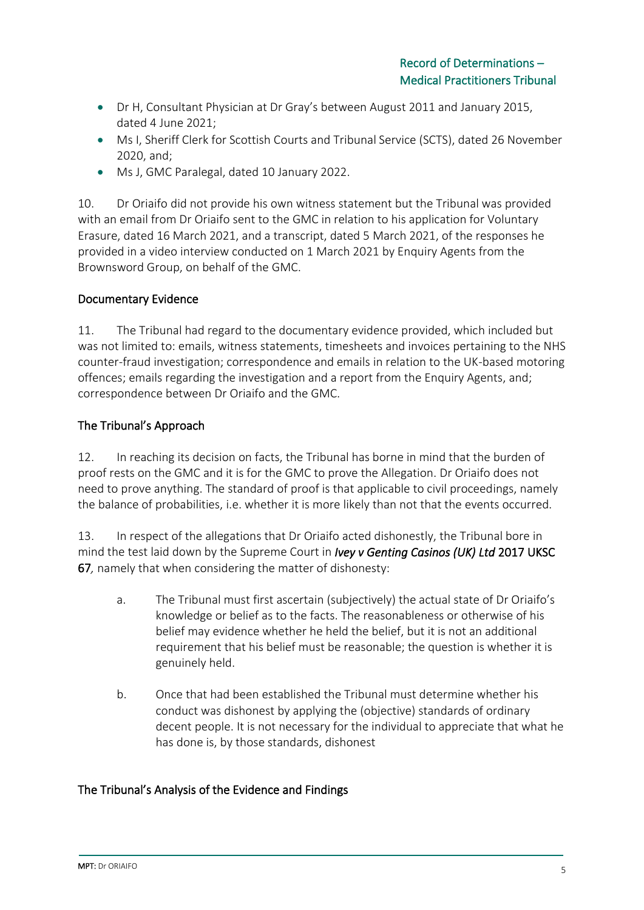- Dr H, Consultant Physician at Dr Gray's between August 2011 and January 2015, dated 4 June 2021;
- Ms I, Sheriff Clerk for Scottish Courts and Tribunal Service (SCTS), dated 26 November 2020, and;
- Ms J, GMC Paralegal, dated 10 January 2022.

10. Dr Oriaifo did not provide his own witness statement but the Tribunal was provided with an email from Dr Oriaifo sent to the GMC in relation to his application for Voluntary Erasure, dated 16 March 2021, and a transcript, dated 5 March 2021, of the responses he provided in a video interview conducted on 1 March 2021 by Enquiry Agents from the Brownsword Group, on behalf of the GMC.

### Documentary Evidence

11. The Tribunal had regard to the documentary evidence provided, which included but was not limited to: emails, witness statements, timesheets and invoices pertaining to the NHS counter-fraud investigation; correspondence and emails in relation to the UK-based motoring offences; emails regarding the investigation and a report from the Enquiry Agents, and; correspondence between Dr Oriaifo and the GMC.

### The Tribunal's Approach

12. In reaching its decision on facts, the Tribunal has borne in mind that the burden of proof rests on the GMC and it is for the GMC to prove the Allegation. Dr Oriaifo does not need to prove anything. The standard of proof is that applicable to civil proceedings, namely the balance of probabilities, i.e. whether it is more likely than not that the events occurred.

13. In respect of the allegations that Dr Oriaifo acted dishonestly, the Tribunal bore in mind the test laid down by the Supreme Court in *Ivey v Genting Casinos (UK) Ltd* 2017 UKSC 67*,* namely that when considering the matter of dishonesty:

- a. The Tribunal must first ascertain (subjectively) the actual state of Dr Oriaifo's knowledge or belief as to the facts. The reasonableness or otherwise of his belief may evidence whether he held the belief, but it is not an additional requirement that his belief must be reasonable; the question is whether it is genuinely held.
- b. Once that had been established the Tribunal must determine whether his conduct was dishonest by applying the (objective) standards of ordinary decent people. It is not necessary for the individual to appreciate that what he has done is, by those standards, dishonest

### The Tribunal's Analysis of the Evidence and Findings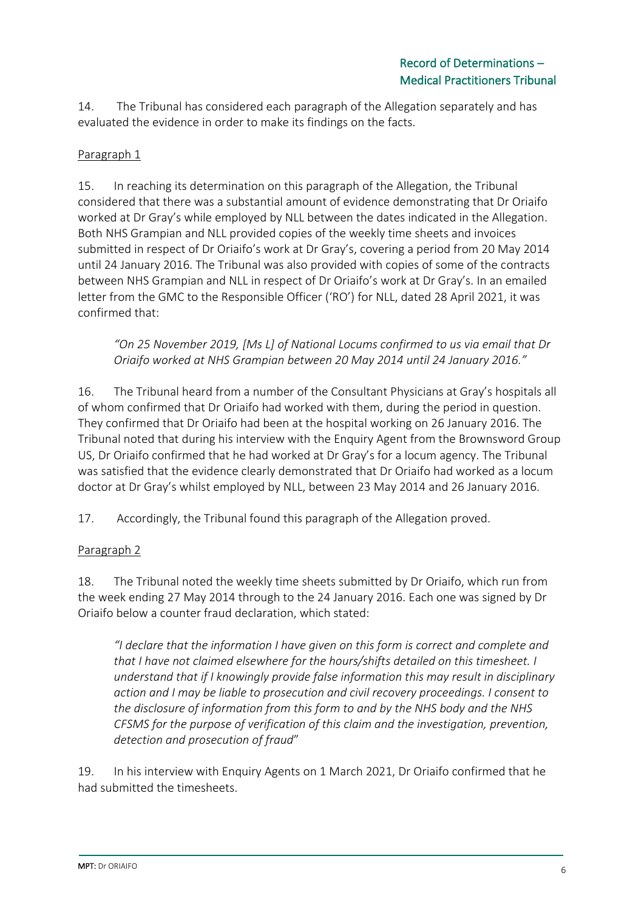14. The Tribunal has considered each paragraph of the Allegation separately and has evaluated the evidence in order to make its findings on the facts.

## Paragraph 1

15. In reaching its determination on this paragraph of the Allegation, the Tribunal considered that there was a substantial amount of evidence demonstrating that Dr Oriaifo worked at Dr Gray's while employed by NLL between the dates indicated in the Allegation. Both NHS Grampian and NLL provided copies of the weekly time sheets and invoices submitted in respect of Dr Oriaifo's work at Dr Gray's, covering a period from 20 May 2014 until 24 January 2016. The Tribunal was also provided with copies of some of the contracts between NHS Grampian and NLL in respect of Dr Oriaifo's work at Dr Gray's. In an emailed letter from the GMC to the Responsible Officer ('RO') for NLL, dated 28 April 2021, it was confirmed that:

*"On 25 November 2019, [Ms L] of National Locums confirmed to us via email that Dr Oriaifo worked at NHS Grampian between 20 May 2014 until 24 January 2016."*

16. The Tribunal heard from a number of the Consultant Physicians at Gray's hospitals all of whom confirmed that Dr Oriaifo had worked with them, during the period in question. They confirmed that Dr Oriaifo had been at the hospital working on 26 January 2016. The Tribunal noted that during his interview with the Enquiry Agent from the Brownsword Group US, Dr Oriaifo confirmed that he had worked at Dr Gray's for a locum agency. The Tribunal was satisfied that the evidence clearly demonstrated that Dr Oriaifo had worked as a locum doctor at Dr Gray's whilst employed by NLL, between 23 May 2014 and 26 January 2016.

17. Accordingly, the Tribunal found this paragraph of the Allegation proved.

## Paragraph 2

18. The Tribunal noted the weekly time sheets submitted by Dr Oriaifo, which run from the week ending 27 May 2014 through to the 24 January 2016. Each one was signed by Dr Oriaifo below a counter fraud declaration, which stated:

*"I declare that the information I have given on this form is correct and complete and that I have not claimed elsewhere for the hours/shifts detailed on this timesheet. I understand that if I knowingly provide false information this may result in disciplinary action and I may be liable to prosecution and civil recovery proceedings. I consent to the disclosure of information from this form to and by the NHS body and the NHS CFSMS for the purpose of verification of this claim and the investigation, prevention, detection and prosecution of fraud*"

19. In his interview with Enquiry Agents on 1 March 2021, Dr Oriaifo confirmed that he had submitted the timesheets.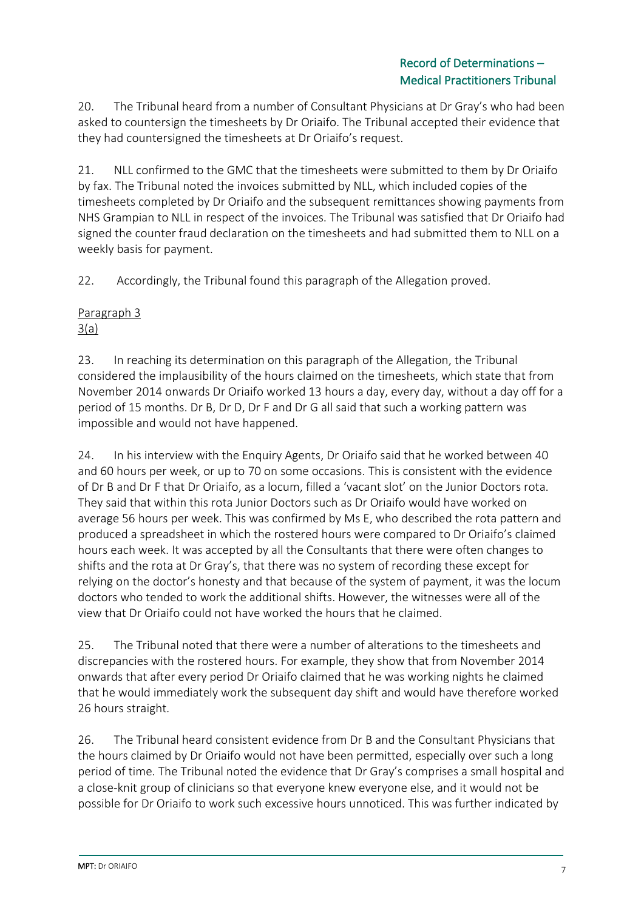20. The Tribunal heard from a number of Consultant Physicians at Dr Gray's who had been asked to countersign the timesheets by Dr Oriaifo. The Tribunal accepted their evidence that they had countersigned the timesheets at Dr Oriaifo's request.

21. NLL confirmed to the GMC that the timesheets were submitted to them by Dr Oriaifo by fax. The Tribunal noted the invoices submitted by NLL, which included copies of the timesheets completed by Dr Oriaifo and the subsequent remittances showing payments from NHS Grampian to NLL in respect of the invoices. The Tribunal was satisfied that Dr Oriaifo had signed the counter fraud declaration on the timesheets and had submitted them to NLL on a weekly basis for payment.

22. Accordingly, the Tribunal found this paragraph of the Allegation proved.

### Paragraph 3  $3(a)$

23. In reaching its determination on this paragraph of the Allegation, the Tribunal considered the implausibility of the hours claimed on the timesheets, which state that from November 2014 onwards Dr Oriaifo worked 13 hours a day, every day, without a day off for a period of 15 months. Dr B, Dr D, Dr F and Dr G all said that such a working pattern was impossible and would not have happened.

24. In his interview with the Enquiry Agents, Dr Oriaifo said that he worked between 40 and 60 hours per week, or up to 70 on some occasions. This is consistent with the evidence of Dr B and Dr F that Dr Oriaifo, as a locum, filled a 'vacant slot' on the Junior Doctors rota. They said that within this rota Junior Doctors such as Dr Oriaifo would have worked on average 56 hours per week. This was confirmed by Ms E, who described the rota pattern and produced a spreadsheet in which the rostered hours were compared to Dr Oriaifo's claimed hours each week. It was accepted by all the Consultants that there were often changes to shifts and the rota at Dr Gray's, that there was no system of recording these except for relying on the doctor's honesty and that because of the system of payment, it was the locum doctors who tended to work the additional shifts. However, the witnesses were all of the view that Dr Oriaifo could not have worked the hours that he claimed.

25. The Tribunal noted that there were a number of alterations to the timesheets and discrepancies with the rostered hours. For example, they show that from November 2014 onwards that after every period Dr Oriaifo claimed that he was working nights he claimed that he would immediately work the subsequent day shift and would have therefore worked 26 hours straight.

26. The Tribunal heard consistent evidence from Dr B and the Consultant Physicians that the hours claimed by Dr Oriaifo would not have been permitted, especially over such a long period of time. The Tribunal noted the evidence that Dr Gray's comprises a small hospital and a close-knit group of clinicians so that everyone knew everyone else, and it would not be possible for Dr Oriaifo to work such excessive hours unnoticed. This was further indicated by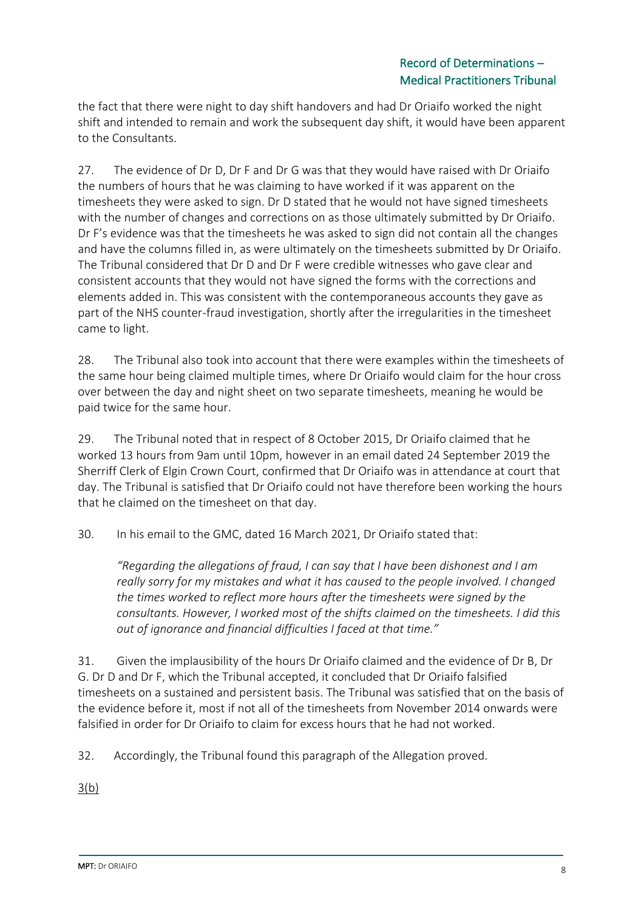the fact that there were night to day shift handovers and had Dr Oriaifo worked the night shift and intended to remain and work the subsequent day shift, it would have been apparent to the Consultants.

27. The evidence of Dr D, Dr F and Dr G was that they would have raised with Dr Oriaifo the numbers of hours that he was claiming to have worked if it was apparent on the timesheets they were asked to sign. Dr D stated that he would not have signed timesheets with the number of changes and corrections on as those ultimately submitted by Dr Oriaifo. Dr F's evidence was that the timesheets he was asked to sign did not contain all the changes and have the columns filled in, as were ultimately on the timesheets submitted by Dr Oriaifo. The Tribunal considered that Dr D and Dr F were credible witnesses who gave clear and consistent accounts that they would not have signed the forms with the corrections and elements added in. This was consistent with the contemporaneous accounts they gave as part of the NHS counter-fraud investigation, shortly after the irregularities in the timesheet came to light.

28. The Tribunal also took into account that there were examples within the timesheets of the same hour being claimed multiple times, where Dr Oriaifo would claim for the hour cross over between the day and night sheet on two separate timesheets, meaning he would be paid twice for the same hour.

29. The Tribunal noted that in respect of 8 October 2015, Dr Oriaifo claimed that he worked 13 hours from 9am until 10pm, however in an email dated 24 September 2019 the Sherriff Clerk of Elgin Crown Court, confirmed that Dr Oriaifo was in attendance at court that day. The Tribunal is satisfied that Dr Oriaifo could not have therefore been working the hours that he claimed on the timesheet on that day.

30. In his email to the GMC, dated 16 March 2021, Dr Oriaifo stated that:

*"Regarding the allegations of fraud, I can say that I have been dishonest and I am really sorry for my mistakes and what it has caused to the people involved. I changed the times worked to reflect more hours after the timesheets were signed by the consultants. However, I worked most of the shifts claimed on the timesheets. I did this out of ignorance and financial difficulties I faced at that time."*

31. Given the implausibility of the hours Dr Oriaifo claimed and the evidence of Dr B, Dr G. Dr D and Dr F, which the Tribunal accepted, it concluded that Dr Oriaifo falsified timesheets on a sustained and persistent basis. The Tribunal was satisfied that on the basis of the evidence before it, most if not all of the timesheets from November 2014 onwards were falsified in order for Dr Oriaifo to claim for excess hours that he had not worked.

32. Accordingly, the Tribunal found this paragraph of the Allegation proved.

3(b)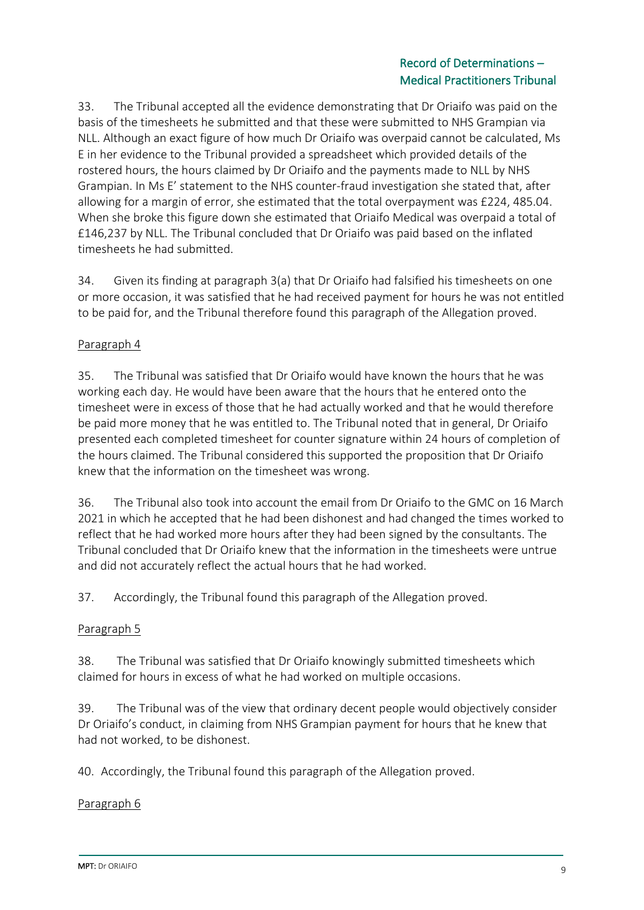### Record of Determinations – Medical Practitioners Tribunal

33. The Tribunal accepted all the evidence demonstrating that Dr Oriaifo was paid on the basis of the timesheets he submitted and that these were submitted to NHS Grampian via NLL. Although an exact figure of how much Dr Oriaifo was overpaid cannot be calculated, Ms E in her evidence to the Tribunal provided a spreadsheet which provided details of the rostered hours, the hours claimed by Dr Oriaifo and the payments made to NLL by NHS Grampian. In Ms E' statement to the NHS counter-fraud investigation she stated that, after allowing for a margin of error, she estimated that the total overpayment was £224, 485.04. When she broke this figure down she estimated that Oriaifo Medical was overpaid a total of £146,237 by NLL. The Tribunal concluded that Dr Oriaifo was paid based on the inflated timesheets he had submitted.

34. Given its finding at paragraph 3(a) that Dr Oriaifo had falsified his timesheets on one or more occasion, it was satisfied that he had received payment for hours he was not entitled to be paid for, and the Tribunal therefore found this paragraph of the Allegation proved.

### Paragraph 4

35. The Tribunal was satisfied that Dr Oriaifo would have known the hours that he was working each day. He would have been aware that the hours that he entered onto the timesheet were in excess of those that he had actually worked and that he would therefore be paid more money that he was entitled to. The Tribunal noted that in general, Dr Oriaifo presented each completed timesheet for counter signature within 24 hours of completion of the hours claimed. The Tribunal considered this supported the proposition that Dr Oriaifo knew that the information on the timesheet was wrong.

36. The Tribunal also took into account the email from Dr Oriaifo to the GMC on 16 March 2021 in which he accepted that he had been dishonest and had changed the times worked to reflect that he had worked more hours after they had been signed by the consultants. The Tribunal concluded that Dr Oriaifo knew that the information in the timesheets were untrue and did not accurately reflect the actual hours that he had worked.

37. Accordingly, the Tribunal found this paragraph of the Allegation proved.

### Paragraph 5

38. The Tribunal was satisfied that Dr Oriaifo knowingly submitted timesheets which claimed for hours in excess of what he had worked on multiple occasions.

39. The Tribunal was of the view that ordinary decent people would objectively consider Dr Oriaifo's conduct, in claiming from NHS Grampian payment for hours that he knew that had not worked, to be dishonest.

40. Accordingly, the Tribunal found this paragraph of the Allegation proved.

### Paragraph 6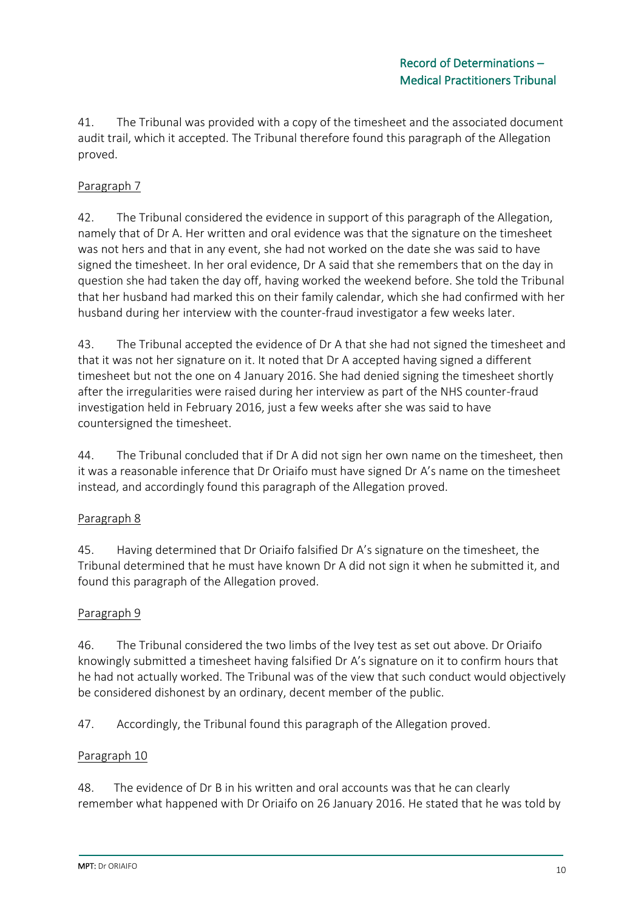41. The Tribunal was provided with a copy of the timesheet and the associated document audit trail, which it accepted. The Tribunal therefore found this paragraph of the Allegation proved.

### Paragraph 7

42. The Tribunal considered the evidence in support of this paragraph of the Allegation, namely that of Dr A. Her written and oral evidence was that the signature on the timesheet was not hers and that in any event, she had not worked on the date she was said to have signed the timesheet. In her oral evidence, Dr A said that she remembers that on the day in question she had taken the day off, having worked the weekend before. She told the Tribunal that her husband had marked this on their family calendar, which she had confirmed with her husband during her interview with the counter-fraud investigator a few weeks later.

43. The Tribunal accepted the evidence of Dr A that she had not signed the timesheet and that it was not her signature on it. It noted that Dr A accepted having signed a different timesheet but not the one on 4 January 2016. She had denied signing the timesheet shortly after the irregularities were raised during her interview as part of the NHS counter-fraud investigation held in February 2016, just a few weeks after she was said to have countersigned the timesheet.

44. The Tribunal concluded that if Dr A did not sign her own name on the timesheet, then it was a reasonable inference that Dr Oriaifo must have signed Dr A's name on the timesheet instead, and accordingly found this paragraph of the Allegation proved.

### Paragraph 8

45. Having determined that Dr Oriaifo falsified Dr A's signature on the timesheet, the Tribunal determined that he must have known Dr A did not sign it when he submitted it, and found this paragraph of the Allegation proved.

### Paragraph 9

46. The Tribunal considered the two limbs of the Ivey test as set out above. Dr Oriaifo knowingly submitted a timesheet having falsified Dr A's signature on it to confirm hours that he had not actually worked. The Tribunal was of the view that such conduct would objectively be considered dishonest by an ordinary, decent member of the public.

47. Accordingly, the Tribunal found this paragraph of the Allegation proved.

#### Paragraph 10

48. The evidence of Dr B in his written and oral accounts was that he can clearly remember what happened with Dr Oriaifo on 26 January 2016. He stated that he was told by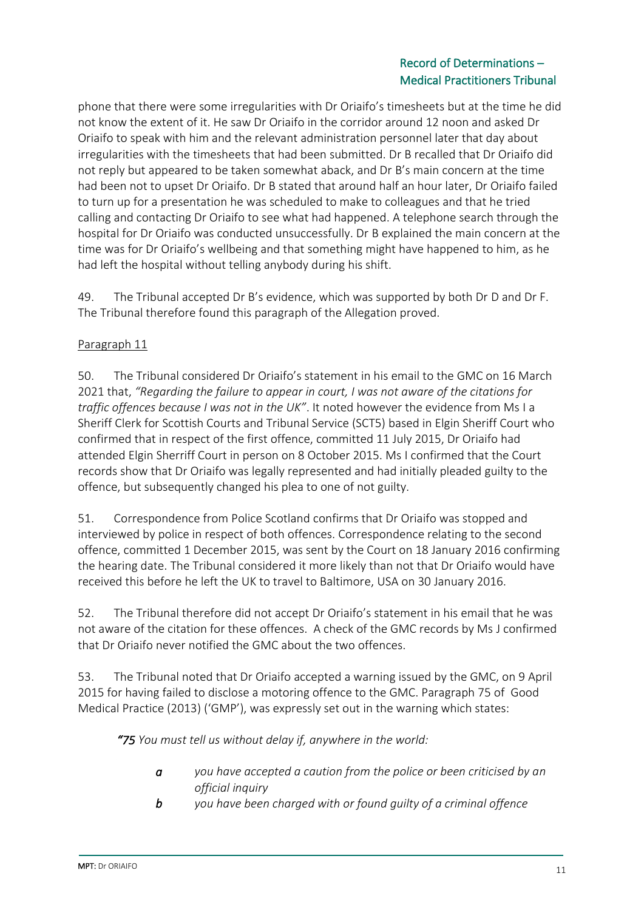### Record of Determinations – Medical Practitioners Tribunal

phone that there were some irregularities with Dr Oriaifo's timesheets but at the time he did not know the extent of it. He saw Dr Oriaifo in the corridor around 12 noon and asked Dr Oriaifo to speak with him and the relevant administration personnel later that day about irregularities with the timesheets that had been submitted. Dr B recalled that Dr Oriaifo did not reply but appeared to be taken somewhat aback, and Dr B's main concern at the time had been not to upset Dr Oriaifo. Dr B stated that around half an hour later, Dr Oriaifo failed to turn up for a presentation he was scheduled to make to colleagues and that he tried calling and contacting Dr Oriaifo to see what had happened. A telephone search through the hospital for Dr Oriaifo was conducted unsuccessfully. Dr B explained the main concern at the time was for Dr Oriaifo's wellbeing and that something might have happened to him, as he had left the hospital without telling anybody during his shift.

49. The Tribunal accepted Dr B's evidence, which was supported by both Dr D and Dr F. The Tribunal therefore found this paragraph of the Allegation proved.

## Paragraph 11

50. The Tribunal considered Dr Oriaifo's statement in his email to the GMC on 16 March 2021 that, *"Regarding the failure to appear in court, I was not aware of the citations for traffic offences because I was not in the UK"*. It noted however the evidence from Ms I a Sheriff Clerk for Scottish Courts and Tribunal Service (SCT5) based in Elgin Sheriff Court who confirmed that in respect of the first offence, committed 11 July 2015, Dr Oriaifo had attended Elgin Sherriff Court in person on 8 October 2015. Ms I confirmed that the Court records show that Dr Oriaifo was legally represented and had initially pleaded guilty to the offence, but subsequently changed his plea to one of not guilty.

51. Correspondence from Police Scotland confirms that Dr Oriaifo was stopped and interviewed by police in respect of both offences. Correspondence relating to the second offence, committed 1 December 2015, was sent by the Court on 18 January 2016 confirming the hearing date. The Tribunal considered it more likely than not that Dr Oriaifo would have received this before he left the UK to travel to Baltimore, USA on 30 January 2016.

52. The Tribunal therefore did not accept Dr Oriaifo's statement in his email that he was not aware of the citation for these offences. A check of the GMC records by Ms J confirmed that Dr Oriaifo never notified the GMC about the two offences.

53. The Tribunal noted that Dr Oriaifo accepted a warning issued by the GMC, on 9 April 2015 for having failed to disclose a motoring offence to the GMC. Paragraph 75 of Good Medical Practice (2013) ('GMP'), was expressly set out in the warning which states:

*"75 You must tell us without delay if, anywhere in the world:*

- *a you have accepted a caution from the police or been criticised by an official inquiry*
- *b you have been charged with or found guilty of a criminal offence*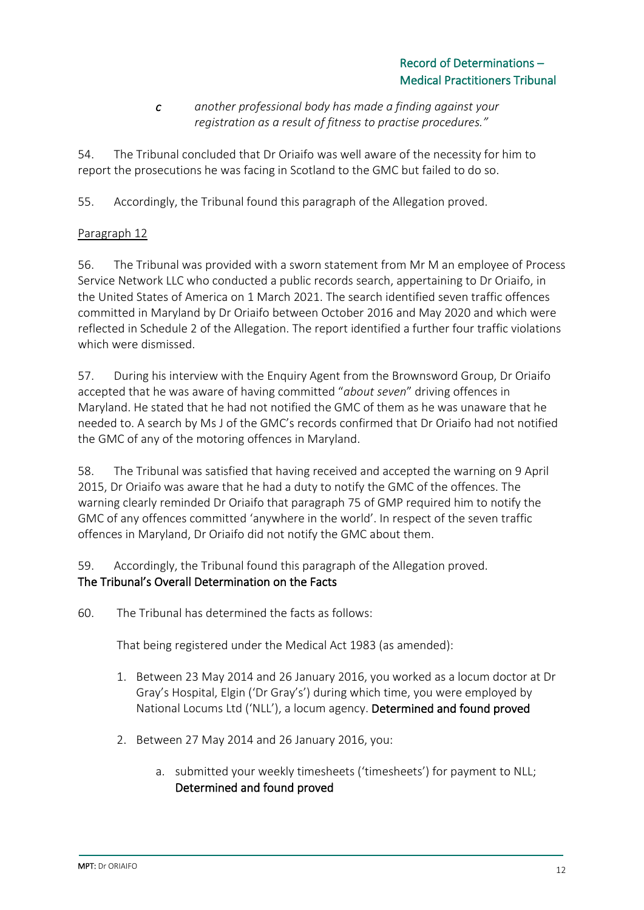### *c another professional body has made a finding against your registration as a result of fitness to practise procedures."*

54. The Tribunal concluded that Dr Oriaifo was well aware of the necessity for him to report the prosecutions he was facing in Scotland to the GMC but failed to do so.

55. Accordingly, the Tribunal found this paragraph of the Allegation proved.

## Paragraph 12

56. The Tribunal was provided with a sworn statement from Mr M an employee of Process Service Network LLC who conducted a public records search, appertaining to Dr Oriaifo, in the United States of America on 1 March 2021. The search identified seven traffic offences committed in Maryland by Dr Oriaifo between October 2016 and May 2020 and which were reflected in Schedule 2 of the Allegation. The report identified a further four traffic violations which were dismissed.

57. During his interview with the Enquiry Agent from the Brownsword Group, Dr Oriaifo accepted that he was aware of having committed "*about seven*" driving offences in Maryland. He stated that he had not notified the GMC of them as he was unaware that he needed to. A search by Ms J of the GMC's records confirmed that Dr Oriaifo had not notified the GMC of any of the motoring offences in Maryland.

58. The Tribunal was satisfied that having received and accepted the warning on 9 April 2015, Dr Oriaifo was aware that he had a duty to notify the GMC of the offences. The warning clearly reminded Dr Oriaifo that paragraph 75 of GMP required him to notify the GMC of any offences committed 'anywhere in the world'. In respect of the seven traffic offences in Maryland, Dr Oriaifo did not notify the GMC about them.

59. Accordingly, the Tribunal found this paragraph of the Allegation proved. The Tribunal's Overall Determination on the Facts

60. The Tribunal has determined the facts as follows:

That being registered under the Medical Act 1983 (as amended):

- 1. Between 23 May 2014 and 26 January 2016, you worked as a locum doctor at Dr Gray's Hospital, Elgin ('Dr Gray's') during which time, you were employed by National Locums Ltd ('NLL'), a locum agency. Determined and found proved
- 2. Between 27 May 2014 and 26 January 2016, you:
	- a. submitted your weekly timesheets ('timesheets') for payment to NLL; Determined and found proved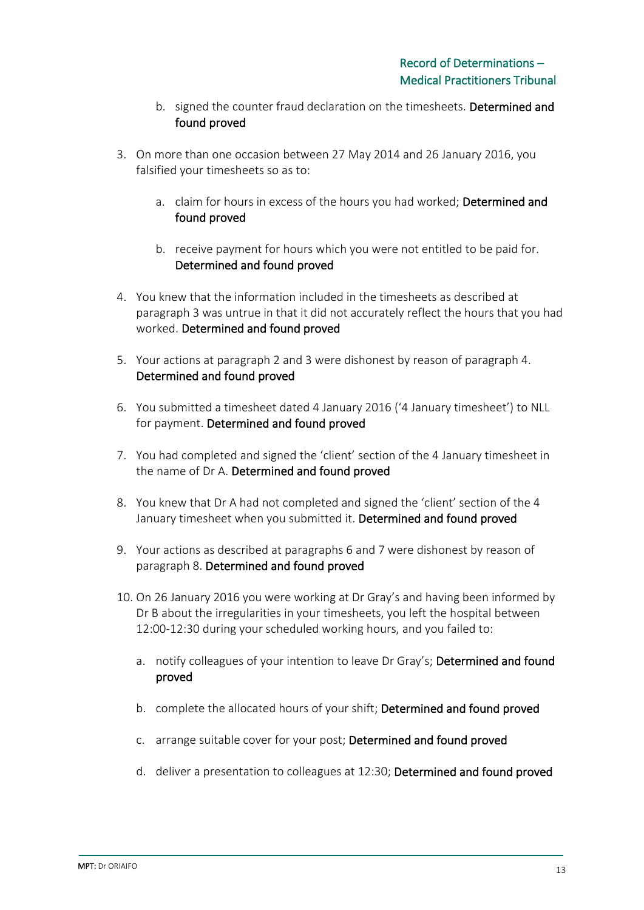- b. signed the counter fraud declaration on the timesheets. Determined and found proved
- 3. On more than one occasion between 27 May 2014 and 26 January 2016, you falsified your timesheets so as to:
	- a. claim for hours in excess of the hours you had worked; Determined and found proved
	- b. receive payment for hours which you were not entitled to be paid for. Determined and found proved
- 4. You knew that the information included in the timesheets as described at paragraph 3 was untrue in that it did not accurately reflect the hours that you had worked. Determined and found proved
- 5. Your actions at paragraph 2 and 3 were dishonest by reason of paragraph 4. Determined and found proved
- 6. You submitted a timesheet dated 4 January 2016 ('4 January timesheet') to NLL for payment. Determined and found proved
- 7. You had completed and signed the 'client' section of the 4 January timesheet in the name of Dr A. Determined and found proved
- 8. You knew that Dr A had not completed and signed the 'client' section of the 4 January timesheet when you submitted it. Determined and found proved
- 9. Your actions as described at paragraphs 6 and 7 were dishonest by reason of paragraph 8. Determined and found proved
- 10. On 26 January 2016 you were working at Dr Gray's and having been informed by Dr B about the irregularities in your timesheets, you left the hospital between 12:00-12:30 during your scheduled working hours, and you failed to:
	- a. notify colleagues of your intention to leave Dr Gray's; Determined and found proved
	- b. complete the allocated hours of your shift; Determined and found proved
	- c. arrange suitable cover for your post; Determined and found proved
	- d. deliver a presentation to colleagues at 12:30; Determined and found proved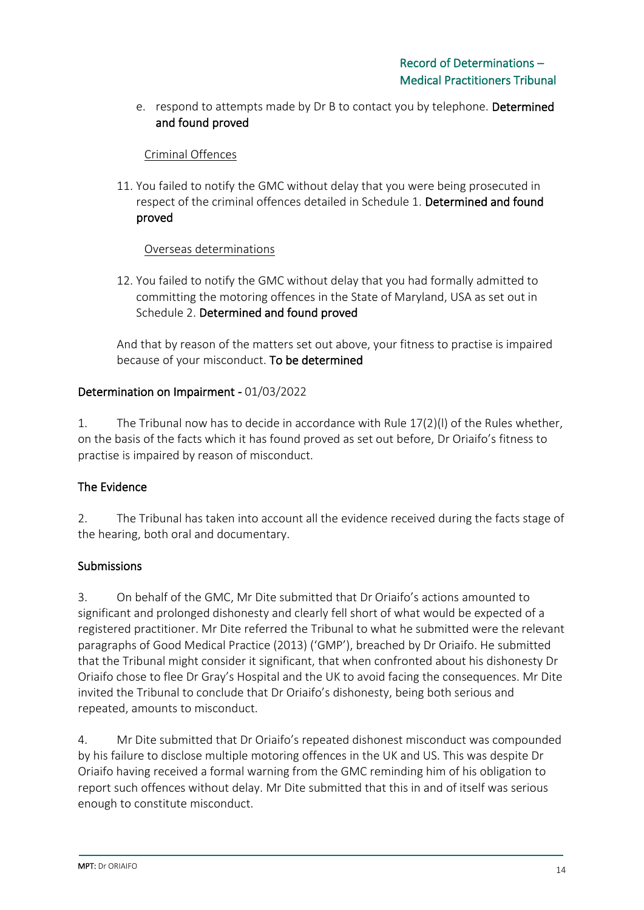e. respond to attempts made by Dr B to contact you by telephone. Determined and found proved

### Criminal Offences

11. You failed to notify the GMC without delay that you were being prosecuted in respect of the criminal offences detailed in Schedule 1. Determined and found proved

### Overseas determinations

12. You failed to notify the GMC without delay that you had formally admitted to committing the motoring offences in the State of Maryland, USA as set out in Schedule 2. Determined and found proved

And that by reason of the matters set out above, your fitness to practise is impaired because of your misconduct. To be determined

### Determination on Impairment - 01/03/2022

1. The Tribunal now has to decide in accordance with Rule 17(2)(l) of the Rules whether, on the basis of the facts which it has found proved as set out before, Dr Oriaifo's fitness to practise is impaired by reason of misconduct.

## The Evidence

2. The Tribunal has taken into account all the evidence received during the facts stage of the hearing, both oral and documentary.

### Submissions

3. On behalf of the GMC, Mr Dite submitted that Dr Oriaifo's actions amounted to significant and prolonged dishonesty and clearly fell short of what would be expected of a registered practitioner. Mr Dite referred the Tribunal to what he submitted were the relevant paragraphs of Good Medical Practice (2013) ('GMP'), breached by Dr Oriaifo. He submitted that the Tribunal might consider it significant, that when confronted about his dishonesty Dr Oriaifo chose to flee Dr Gray's Hospital and the UK to avoid facing the consequences. Mr Dite invited the Tribunal to conclude that Dr Oriaifo's dishonesty, being both serious and repeated, amounts to misconduct.

4. Mr Dite submitted that Dr Oriaifo's repeated dishonest misconduct was compounded by his failure to disclose multiple motoring offences in the UK and US. This was despite Dr Oriaifo having received a formal warning from the GMC reminding him of his obligation to report such offences without delay. Mr Dite submitted that this in and of itself was serious enough to constitute misconduct.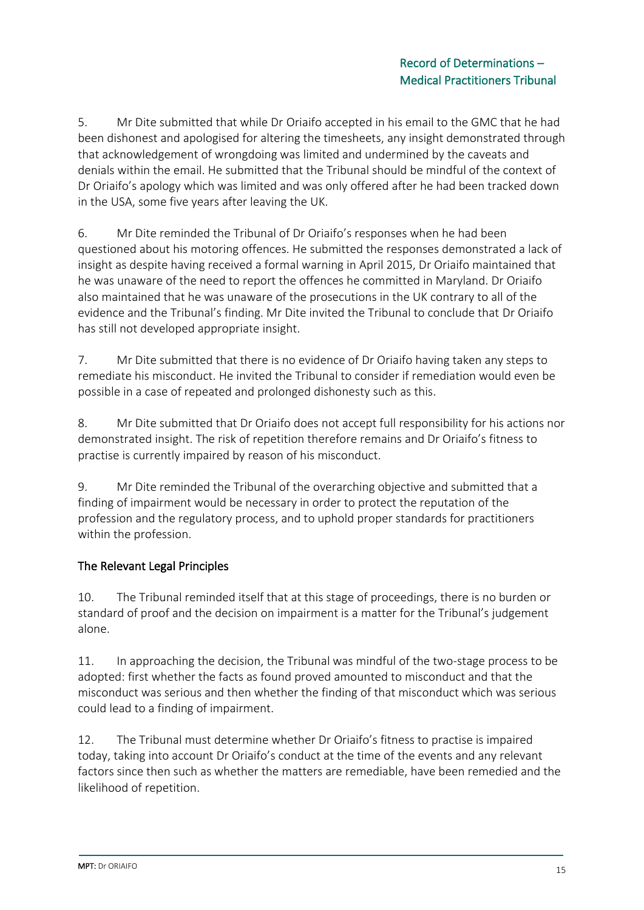5. Mr Dite submitted that while Dr Oriaifo accepted in his email to the GMC that he had been dishonest and apologised for altering the timesheets, any insight demonstrated through that acknowledgement of wrongdoing was limited and undermined by the caveats and denials within the email. He submitted that the Tribunal should be mindful of the context of Dr Oriaifo's apology which was limited and was only offered after he had been tracked down in the USA, some five years after leaving the UK.

6. Mr Dite reminded the Tribunal of Dr Oriaifo's responses when he had been questioned about his motoring offences. He submitted the responses demonstrated a lack of insight as despite having received a formal warning in April 2015, Dr Oriaifo maintained that he was unaware of the need to report the offences he committed in Maryland. Dr Oriaifo also maintained that he was unaware of the prosecutions in the UK contrary to all of the evidence and the Tribunal's finding. Mr Dite invited the Tribunal to conclude that Dr Oriaifo has still not developed appropriate insight.

7. Mr Dite submitted that there is no evidence of Dr Oriaifo having taken any steps to remediate his misconduct. He invited the Tribunal to consider if remediation would even be possible in a case of repeated and prolonged dishonesty such as this.

8. Mr Dite submitted that Dr Oriaifo does not accept full responsibility for his actions nor demonstrated insight. The risk of repetition therefore remains and Dr Oriaifo's fitness to practise is currently impaired by reason of his misconduct.

9. Mr Dite reminded the Tribunal of the overarching objective and submitted that a finding of impairment would be necessary in order to protect the reputation of the profession and the regulatory process, and to uphold proper standards for practitioners within the profession.

## The Relevant Legal Principles

10. The Tribunal reminded itself that at this stage of proceedings, there is no burden or standard of proof and the decision on impairment is a matter for the Tribunal's judgement alone.

11. In approaching the decision, the Tribunal was mindful of the two-stage process to be adopted: first whether the facts as found proved amounted to misconduct and that the misconduct was serious and then whether the finding of that misconduct which was serious could lead to a finding of impairment.

12. The Tribunal must determine whether Dr Oriaifo's fitness to practise is impaired today, taking into account Dr Oriaifo's conduct at the time of the events and any relevant factors since then such as whether the matters are remediable, have been remedied and the likelihood of repetition.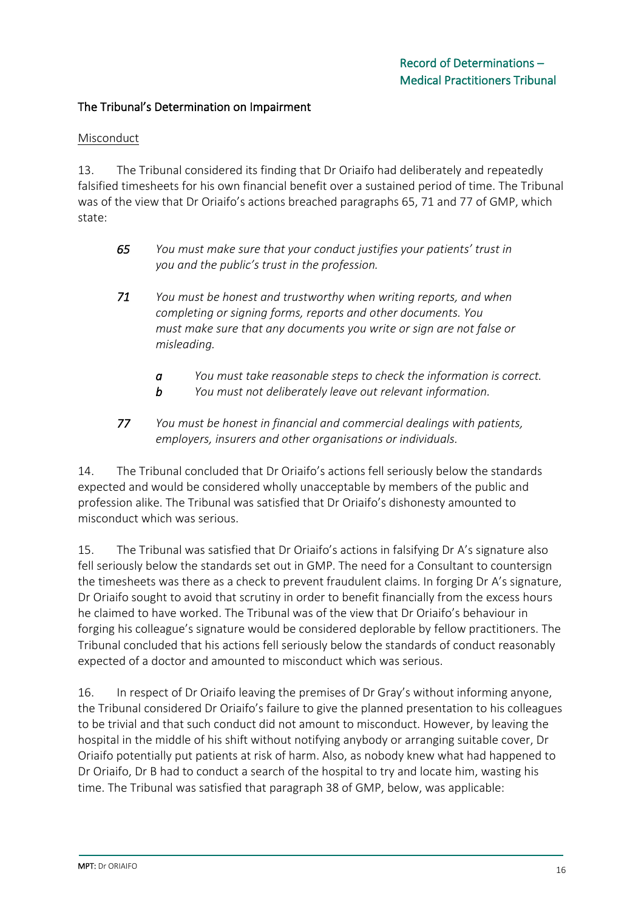#### The Tribunal's Determination on Impairment

#### Misconduct

13. The Tribunal considered its finding that Dr Oriaifo had deliberately and repeatedly falsified timesheets for his own financial benefit over a sustained period of time. The Tribunal was of the view that Dr Oriaifo's actions breached paragraphs 65, 71 and 77 of GMP, which state:

- *65 You must make sure that your conduct justifies your patients' trust in you and the public's trust in the profession.*
- *71 You must be honest and trustworthy when writing reports, and when completing or signing forms, reports and other documents. You must make sure that any documents you write or sign are not false or misleading.*
	- *a You must take reasonable steps to check the information is correct.*
	- *b You must not deliberately leave out relevant information.*
- *77 You must be honest in financial and commercial dealings with patients, employers, insurers and other organisations or individuals.*

14. The Tribunal concluded that Dr Oriaifo's actions fell seriously below the standards expected and would be considered wholly unacceptable by members of the public and profession alike. The Tribunal was satisfied that Dr Oriaifo's dishonesty amounted to misconduct which was serious.

15. The Tribunal was satisfied that Dr Oriaifo's actions in falsifying Dr A's signature also fell seriously below the standards set out in GMP. The need for a Consultant to countersign the timesheets was there as a check to prevent fraudulent claims. In forging Dr A's signature, Dr Oriaifo sought to avoid that scrutiny in order to benefit financially from the excess hours he claimed to have worked. The Tribunal was of the view that Dr Oriaifo's behaviour in forging his colleague's signature would be considered deplorable by fellow practitioners. The Tribunal concluded that his actions fell seriously below the standards of conduct reasonably expected of a doctor and amounted to misconduct which was serious.

16. In respect of Dr Oriaifo leaving the premises of Dr Gray's without informing anyone, the Tribunal considered Dr Oriaifo's failure to give the planned presentation to his colleagues to be trivial and that such conduct did not amount to misconduct. However, by leaving the hospital in the middle of his shift without notifying anybody or arranging suitable cover, Dr Oriaifo potentially put patients at risk of harm. Also, as nobody knew what had happened to Dr Oriaifo, Dr B had to conduct a search of the hospital to try and locate him, wasting his time. The Tribunal was satisfied that paragraph 38 of GMP, below, was applicable: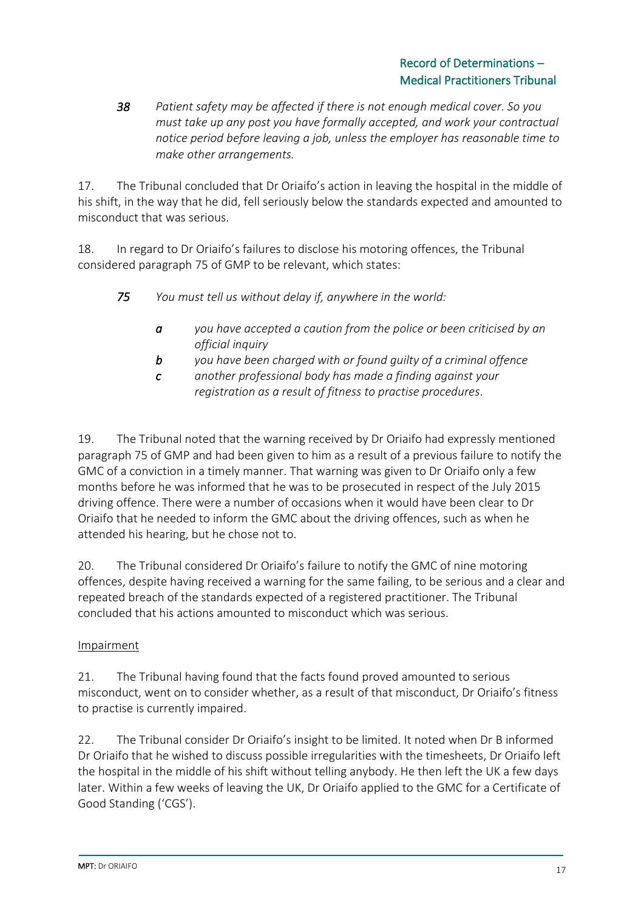### Record of Determinations – Medical Practitioners Tribunal

*38 Patient safety may be affected if there is not enough medical cover. So you must take up any post you have formally accepted, and work your contractual notice period before leaving a job, unless the employer has reasonable time to make other arrangements.*

17. The Tribunal concluded that Dr Oriaifo's action in leaving the hospital in the middle of his shift, in the way that he did, fell seriously below the standards expected and amounted to misconduct that was serious.

18. In regard to Dr Oriaifo's failures to disclose his motoring offences, the Tribunal considered paragraph 75 of GMP to be relevant, which states:

*75 You must tell us without delay if, anywhere in the world:*

- *a you have accepted a caution from the police or been criticised by an official inquiry*
- *b you have been charged with or found guilty of a criminal offence*
- *c another professional body has made a finding against your registration as a result of fitness to practise procedures*.

19. The Tribunal noted that the warning received by Dr Oriaifo had expressly mentioned paragraph 75 of GMP and had been given to him as a result of a previous failure to notify the GMC of a conviction in a timely manner. That warning was given to Dr Oriaifo only a few months before he was informed that he was to be prosecuted in respect of the July 2015 driving offence. There were a number of occasions when it would have been clear to Dr Oriaifo that he needed to inform the GMC about the driving offences, such as when he attended his hearing, but he chose not to.

20. The Tribunal considered Dr Oriaifo's failure to notify the GMC of nine motoring offences, despite having received a warning for the same failing, to be serious and a clear and repeated breach of the standards expected of a registered practitioner. The Tribunal concluded that his actions amounted to misconduct which was serious.

## Impairment

21. The Tribunal having found that the facts found proved amounted to serious misconduct, went on to consider whether, as a result of that misconduct, Dr Oriaifo's fitness to practise is currently impaired.

22. The Tribunal consider Dr Oriaifo's insight to be limited. It noted when Dr B informed Dr Oriaifo that he wished to discuss possible irregularities with the timesheets, Dr Oriaifo left the hospital in the middle of his shift without telling anybody. He then left the UK a few days later. Within a few weeks of leaving the UK, Dr Oriaifo applied to the GMC for a Certificate of Good Standing ('CGS').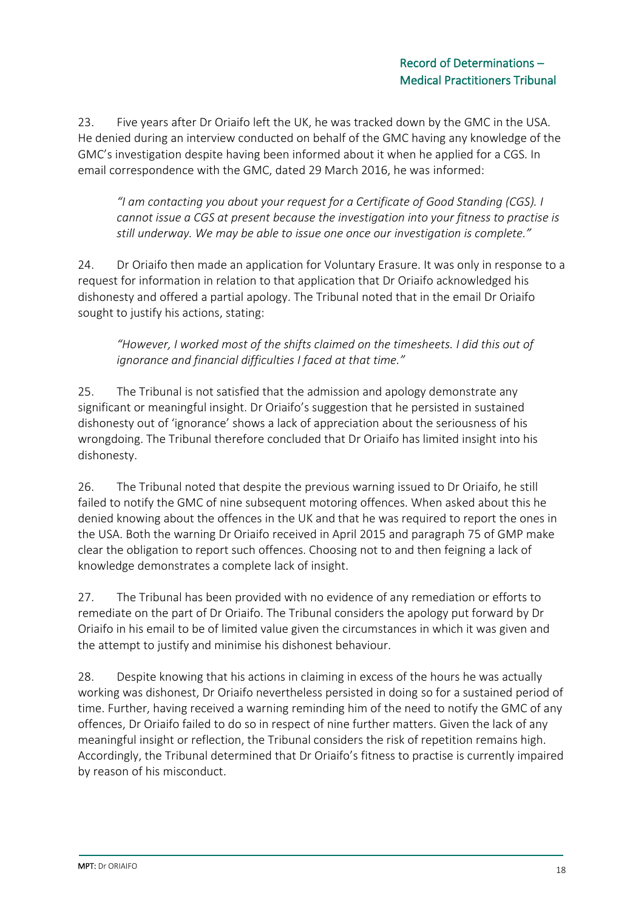23. Five years after Dr Oriaifo left the UK, he was tracked down by the GMC in the USA. He denied during an interview conducted on behalf of the GMC having any knowledge of the GMC's investigation despite having been informed about it when he applied for a CGS. In email correspondence with the GMC, dated 29 March 2016, he was informed:

*"I am contacting you about your request for a Certificate of Good Standing (CGS). I cannot issue a CGS at present because the investigation into your fitness to practise is still underway. We may be able to issue one once our investigation is complete."*

24. Dr Oriaifo then made an application for Voluntary Erasure. It was only in response to a request for information in relation to that application that Dr Oriaifo acknowledged his dishonesty and offered a partial apology. The Tribunal noted that in the email Dr Oriaifo sought to justify his actions, stating:

*"However, I worked most of the shifts claimed on the timesheets. I did this out of ignorance and financial difficulties I faced at that time."*

25. The Tribunal is not satisfied that the admission and apology demonstrate any significant or meaningful insight. Dr Oriaifo's suggestion that he persisted in sustained dishonesty out of 'ignorance' shows a lack of appreciation about the seriousness of his wrongdoing. The Tribunal therefore concluded that Dr Oriaifo has limited insight into his dishonesty.

26. The Tribunal noted that despite the previous warning issued to Dr Oriaifo, he still failed to notify the GMC of nine subsequent motoring offences. When asked about this he denied knowing about the offences in the UK and that he was required to report the ones in the USA. Both the warning Dr Oriaifo received in April 2015 and paragraph 75 of GMP make clear the obligation to report such offences. Choosing not to and then feigning a lack of knowledge demonstrates a complete lack of insight.

27. The Tribunal has been provided with no evidence of any remediation or efforts to remediate on the part of Dr Oriaifo. The Tribunal considers the apology put forward by Dr Oriaifo in his email to be of limited value given the circumstances in which it was given and the attempt to justify and minimise his dishonest behaviour.

28. Despite knowing that his actions in claiming in excess of the hours he was actually working was dishonest, Dr Oriaifo nevertheless persisted in doing so for a sustained period of time. Further, having received a warning reminding him of the need to notify the GMC of any offences, Dr Oriaifo failed to do so in respect of nine further matters. Given the lack of any meaningful insight or reflection, the Tribunal considers the risk of repetition remains high. Accordingly, the Tribunal determined that Dr Oriaifo's fitness to practise is currently impaired by reason of his misconduct.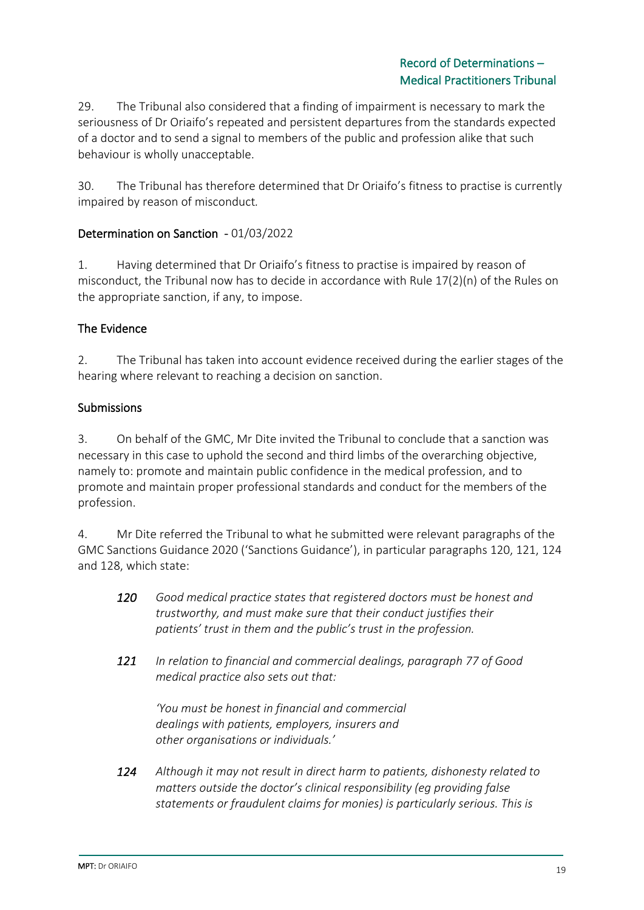29. The Tribunal also considered that a finding of impairment is necessary to mark the seriousness of Dr Oriaifo's repeated and persistent departures from the standards expected of a doctor and to send a signal to members of the public and profession alike that such behaviour is wholly unacceptable.

30. The Tribunal has therefore determined that Dr Oriaifo's fitness to practise is currently impaired by reason of misconduct*.*

### Determination on Sanction - 01/03/2022

1. Having determined that Dr Oriaifo's fitness to practise is impaired by reason of misconduct, the Tribunal now has to decide in accordance with Rule 17(2)(n) of the Rules on the appropriate sanction, if any, to impose.

### The Evidence

2. The Tribunal has taken into account evidence received during the earlier stages of the hearing where relevant to reaching a decision on sanction.

### Submissions

3. On behalf of the GMC, Mr Dite invited the Tribunal to conclude that a sanction was necessary in this case to uphold the second and third limbs of the overarching objective, namely to: promote and maintain public confidence in the medical profession, and to promote and maintain proper professional standards and conduct for the members of the profession.

4. Mr Dite referred the Tribunal to what he submitted were relevant paragraphs of the GMC Sanctions Guidance 2020 ('Sanctions Guidance'), in particular paragraphs 120, 121, 124 and 128, which state:

| 120 | Good medical practice states that registered doctors must be honest and |
|-----|-------------------------------------------------------------------------|
|     | trustworthy, and must make sure that their conduct justifies their      |
|     | patients' trust in them and the public's trust in the profession.       |

*121 In relation to financial and commercial dealings, paragraph 77 of Good medical practice also sets out that:*

*'You must be honest in financial and commercial dealings with patients, employers, insurers and other organisations or individuals.'*

*124 Although it may not result in direct harm to patients, dishonesty related to matters outside the doctor's clinical responsibility (eg providing false statements or fraudulent claims for monies) is particularly serious. This is*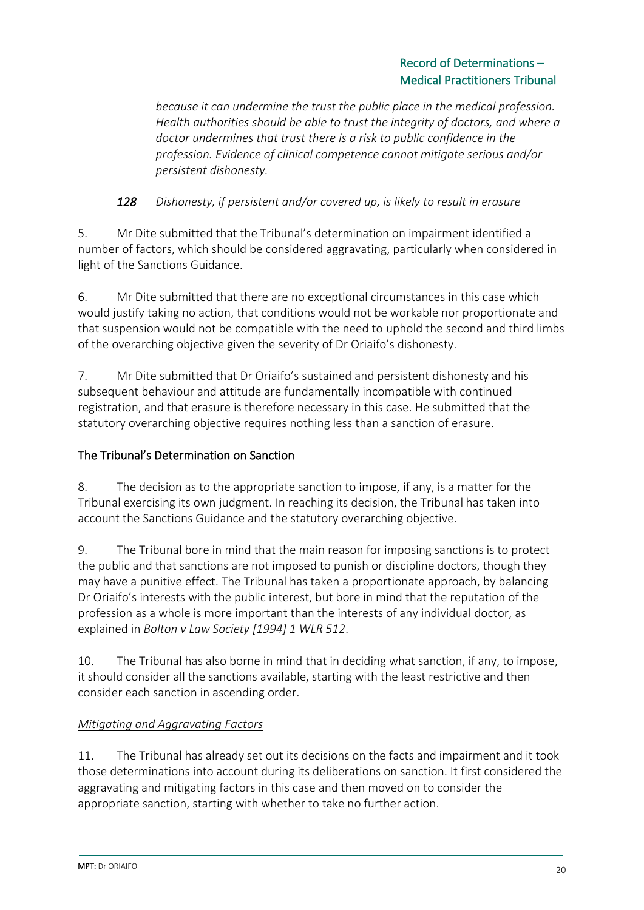## Record of Determinations – Medical Practitioners Tribunal

*because it can undermine the trust the public place in the medical profession. Health authorities should be able to trust the integrity of doctors, and where a doctor undermines that trust there is a risk to public confidence in the profession. Evidence of clinical competence cannot mitigate serious and/or persistent dishonesty.*

## *128 Dishonesty, if persistent and/or covered up, is likely to result in erasure*

5. Mr Dite submitted that the Tribunal's determination on impairment identified a number of factors, which should be considered aggravating, particularly when considered in light of the Sanctions Guidance.

6. Mr Dite submitted that there are no exceptional circumstances in this case which would justify taking no action, that conditions would not be workable nor proportionate and that suspension would not be compatible with the need to uphold the second and third limbs of the overarching objective given the severity of Dr Oriaifo's dishonesty.

7. Mr Dite submitted that Dr Oriaifo's sustained and persistent dishonesty and his subsequent behaviour and attitude are fundamentally incompatible with continued registration, and that erasure is therefore necessary in this case. He submitted that the statutory overarching objective requires nothing less than a sanction of erasure.

## The Tribunal's Determination on Sanction

8. The decision as to the appropriate sanction to impose, if any, is a matter for the Tribunal exercising its own judgment. In reaching its decision, the Tribunal has taken into account the Sanctions Guidance and the statutory overarching objective.

9. The Tribunal bore in mind that the main reason for imposing sanctions is to protect the public and that sanctions are not imposed to punish or discipline doctors, though they may have a punitive effect. The Tribunal has taken a proportionate approach, by balancing Dr Oriaifo's interests with the public interest, but bore in mind that the reputation of the profession as a whole is more important than the interests of any individual doctor, as explained in *Bolton v Law Society [1994] 1 WLR 512*.

10. The Tribunal has also borne in mind that in deciding what sanction, if any, to impose, it should consider all the sanctions available, starting with the least restrictive and then consider each sanction in ascending order.

## *Mitigating and Aggravating Factors*

11. The Tribunal has already set out its decisions on the facts and impairment and it took those determinations into account during its deliberations on sanction. It first considered the aggravating and mitigating factors in this case and then moved on to consider the appropriate sanction, starting with whether to take no further action.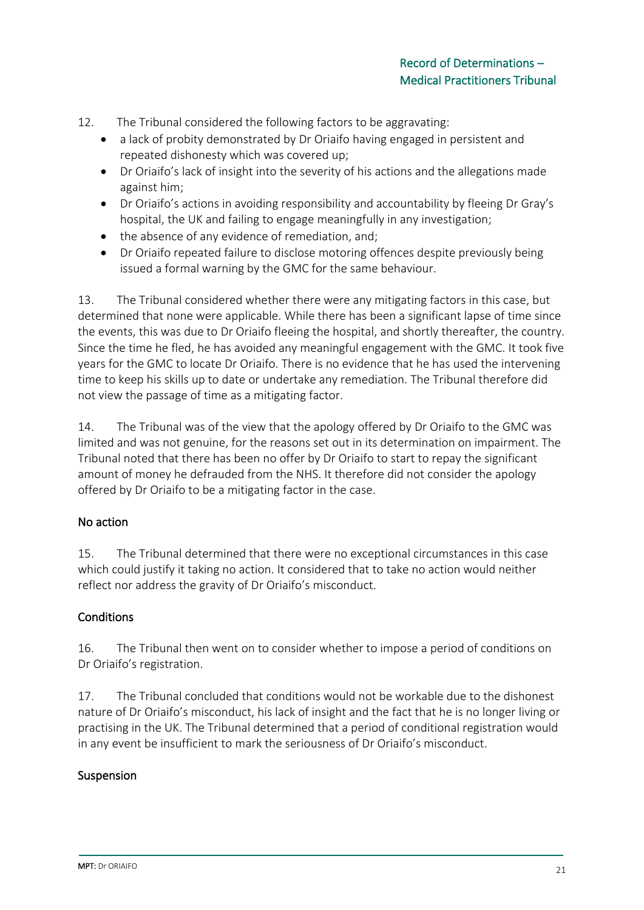- 12. The Tribunal considered the following factors to be aggravating:
	- a lack of probity demonstrated by Dr Oriaifo having engaged in persistent and repeated dishonesty which was covered up;
	- Dr Oriaifo's lack of insight into the severity of his actions and the allegations made against him;
	- Dr Oriaifo's actions in avoiding responsibility and accountability by fleeing Dr Gray's hospital, the UK and failing to engage meaningfully in any investigation;
	- the absence of any evidence of remediation, and;
	- Dr Oriaifo repeated failure to disclose motoring offences despite previously being issued a formal warning by the GMC for the same behaviour.

13. The Tribunal considered whether there were any mitigating factors in this case, but determined that none were applicable. While there has been a significant lapse of time since the events, this was due to Dr Oriaifo fleeing the hospital, and shortly thereafter, the country. Since the time he fled, he has avoided any meaningful engagement with the GMC. It took five years for the GMC to locate Dr Oriaifo. There is no evidence that he has used the intervening time to keep his skills up to date or undertake any remediation. The Tribunal therefore did not view the passage of time as a mitigating factor.

14. The Tribunal was of the view that the apology offered by Dr Oriaifo to the GMC was limited and was not genuine, for the reasons set out in its determination on impairment. The Tribunal noted that there has been no offer by Dr Oriaifo to start to repay the significant amount of money he defrauded from the NHS. It therefore did not consider the apology offered by Dr Oriaifo to be a mitigating factor in the case.

## No action

15. The Tribunal determined that there were no exceptional circumstances in this case which could justify it taking no action. It considered that to take no action would neither reflect nor address the gravity of Dr Oriaifo's misconduct.

### **Conditions**

16. The Tribunal then went on to consider whether to impose a period of conditions on Dr Oriaifo's registration.

17. The Tribunal concluded that conditions would not be workable due to the dishonest nature of Dr Oriaifo's misconduct, his lack of insight and the fact that he is no longer living or practising in the UK. The Tribunal determined that a period of conditional registration would in any event be insufficient to mark the seriousness of Dr Oriaifo's misconduct.

### Suspension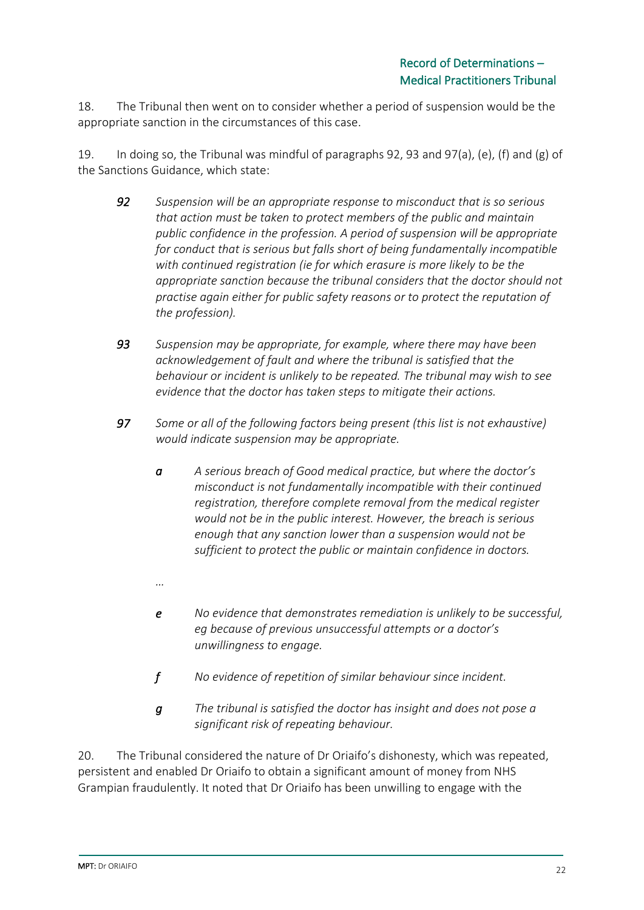18. The Tribunal then went on to consider whether a period of suspension would be the appropriate sanction in the circumstances of this case.

19. In doing so, the Tribunal was mindful of paragraphs 92, 93 and 97(a), (e), (f) and (g) of the Sanctions Guidance, which state:

- *92 Suspension will be an appropriate response to misconduct that is so serious that action must be taken to protect members of the public and maintain public confidence in the profession. A period of suspension will be appropriate for conduct that is serious but falls short of being fundamentally incompatible with continued registration (ie for which erasure is more likely to be the appropriate sanction because the tribunal considers that the doctor should not practise again either for public safety reasons or to protect the reputation of the profession).*
- *93 Suspension may be appropriate, for example, where there may have been acknowledgement of fault and where the tribunal is satisfied that the behaviour or incident is unlikely to be repeated. The tribunal may wish to see evidence that the doctor has taken steps to mitigate their actions.*
- *97 Some or all of the following factors being present (this list is not exhaustive) would indicate suspension may be appropriate.*
	- *a A serious breach of Good medical practice, but where the doctor's misconduct is not fundamentally incompatible with their continued registration, therefore complete removal from the medical register would not be in the public interest. However, the breach is serious enough that any sanction lower than a suspension would not be sufficient to protect the public or maintain confidence in doctors.*
	- *…*
	- *e No evidence that demonstrates remediation is unlikely to be successful, eg because of previous unsuccessful attempts or a doctor's unwillingness to engage.*
	- *f No evidence of repetition of similar behaviour since incident.*
	- *g The tribunal is satisfied the doctor has insight and does not pose a significant risk of repeating behaviour.*

20. The Tribunal considered the nature of Dr Oriaifo's dishonesty, which was repeated, persistent and enabled Dr Oriaifo to obtain a significant amount of money from NHS Grampian fraudulently. It noted that Dr Oriaifo has been unwilling to engage with the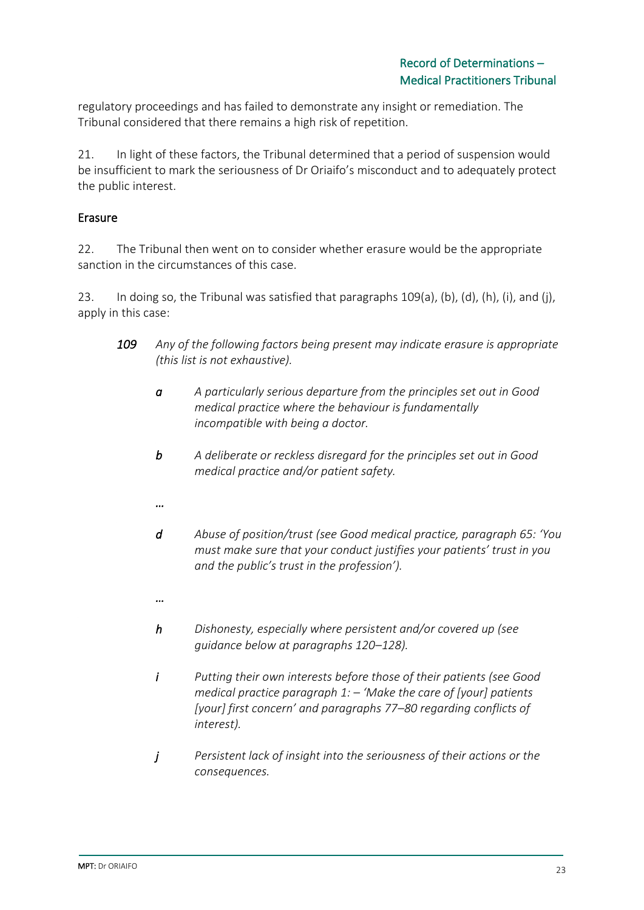regulatory proceedings and has failed to demonstrate any insight or remediation. The Tribunal considered that there remains a high risk of repetition.

21. In light of these factors, the Tribunal determined that a period of suspension would be insufficient to mark the seriousness of Dr Oriaifo's misconduct and to adequately protect the public interest.

### Erasure

22. The Tribunal then went on to consider whether erasure would be the appropriate sanction in the circumstances of this case.

23. In doing so, the Tribunal was satisfied that paragraphs 109(a), (b), (d), (h), (i), and (j), apply in this case:

- *109 Any of the following factors being present may indicate erasure is appropriate (this list is not exhaustive).*
	- *a A particularly serious departure from the principles set out in Good medical practice where the behaviour is fundamentally incompatible with being a doctor.*
	- *b A deliberate or reckless disregard for the principles set out in Good medical practice and/or patient safety.*
	- *…*
	- *d Abuse of position/trust (see Good medical practice, paragraph 65: 'You must make sure that your conduct justifies your patients' trust in you and the public's trust in the profession').*
	- *…*
	- *h Dishonesty, especially where persistent and/or covered up (see guidance below at paragraphs 120–128).*
	- *i Putting their own interests before those of their patients (see Good medical practice paragraph 1: – 'Make the care of [your] patients [your] first concern' and paragraphs 77–80 regarding conflicts of interest).*
	- *j Persistent lack of insight into the seriousness of their actions or the consequences.*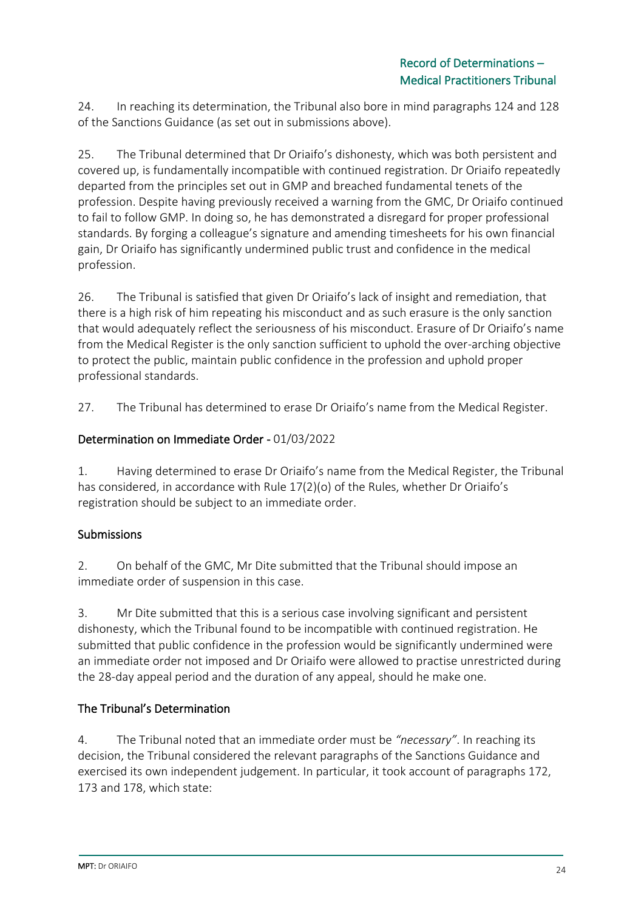24. In reaching its determination, the Tribunal also bore in mind paragraphs 124 and 128 of the Sanctions Guidance (as set out in submissions above).

25. The Tribunal determined that Dr Oriaifo's dishonesty, which was both persistent and covered up, is fundamentally incompatible with continued registration. Dr Oriaifo repeatedly departed from the principles set out in GMP and breached fundamental tenets of the profession. Despite having previously received a warning from the GMC, Dr Oriaifo continued to fail to follow GMP. In doing so, he has demonstrated a disregard for proper professional standards. By forging a colleague's signature and amending timesheets for his own financial gain, Dr Oriaifo has significantly undermined public trust and confidence in the medical profession.

26. The Tribunal is satisfied that given Dr Oriaifo's lack of insight and remediation, that there is a high risk of him repeating his misconduct and as such erasure is the only sanction that would adequately reflect the seriousness of his misconduct. Erasure of Dr Oriaifo's name from the Medical Register is the only sanction sufficient to uphold the over-arching objective to protect the public, maintain public confidence in the profession and uphold proper professional standards.

27. The Tribunal has determined to erase Dr Oriaifo's name from the Medical Register.

### Determination on Immediate Order - 01/03/2022

1. Having determined to erase Dr Oriaifo's name from the Medical Register, the Tribunal has considered, in accordance with Rule 17(2)(o) of the Rules, whether Dr Oriaifo's registration should be subject to an immediate order.

## Submissions

2. On behalf of the GMC, Mr Dite submitted that the Tribunal should impose an immediate order of suspension in this case.

3. Mr Dite submitted that this is a serious case involving significant and persistent dishonesty, which the Tribunal found to be incompatible with continued registration. He submitted that public confidence in the profession would be significantly undermined were an immediate order not imposed and Dr Oriaifo were allowed to practise unrestricted during the 28-day appeal period and the duration of any appeal, should he make one.

## The Tribunal's Determination

4. The Tribunal noted that an immediate order must be *"necessary"*. In reaching its decision, the Tribunal considered the relevant paragraphs of the Sanctions Guidance and exercised its own independent judgement. In particular, it took account of paragraphs 172, 173 and 178, which state: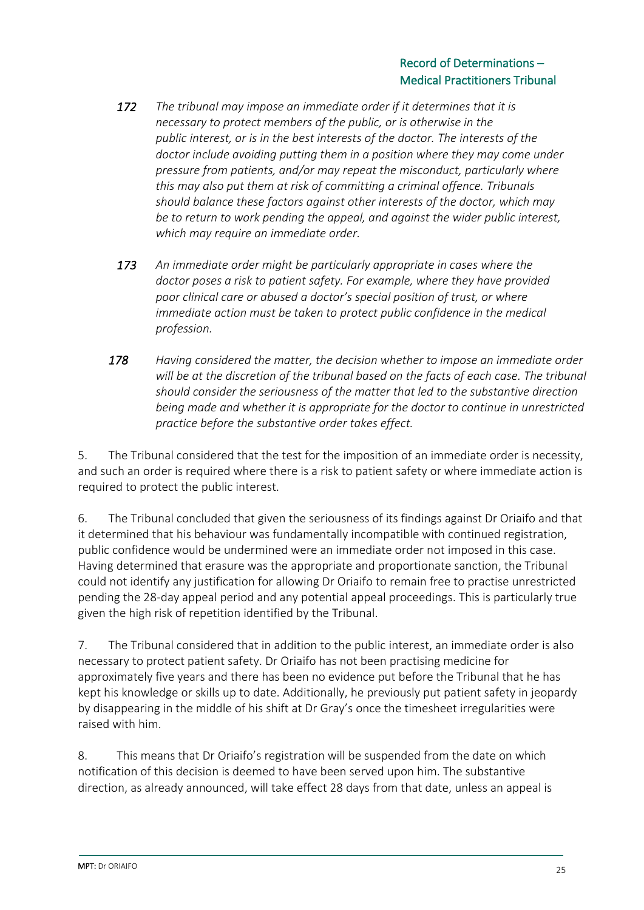- *172 The tribunal may impose an immediate order if it determines that it is necessary to protect members of the public, or is otherwise in the public interest, or is in the best interests of the doctor. The interests of the doctor include avoiding putting them in a position where they may come under pressure from patients, and/or may repeat the misconduct, particularly where this may also put them at risk of committing a criminal offence. Tribunals should balance these factors against other interests of the doctor, which may be to return to work pending the appeal, and against the wider public interest, which may require an immediate order.*
- *173 An immediate order might be particularly appropriate in cases where the doctor poses a risk to patient safety. For example, where they have provided poor clinical care or abused a doctor's special position of trust, or where immediate action must be taken to protect public confidence in the medical profession.*
- *178 Having considered the matter, the decision whether to impose an immediate order will be at the discretion of the tribunal based on the facts of each case. The tribunal should consider the seriousness of the matter that led to the substantive direction being made and whether it is appropriate for the doctor to continue in unrestricted practice before the substantive order takes effect.*

5. The Tribunal considered that the test for the imposition of an immediate order is necessity, and such an order is required where there is a risk to patient safety or where immediate action is required to protect the public interest.

6. The Tribunal concluded that given the seriousness of its findings against Dr Oriaifo and that it determined that his behaviour was fundamentally incompatible with continued registration, public confidence would be undermined were an immediate order not imposed in this case. Having determined that erasure was the appropriate and proportionate sanction, the Tribunal could not identify any justification for allowing Dr Oriaifo to remain free to practise unrestricted pending the 28-day appeal period and any potential appeal proceedings. This is particularly true given the high risk of repetition identified by the Tribunal.

7. The Tribunal considered that in addition to the public interest, an immediate order is also necessary to protect patient safety. Dr Oriaifo has not been practising medicine for approximately five years and there has been no evidence put before the Tribunal that he has kept his knowledge or skills up to date. Additionally, he previously put patient safety in jeopardy by disappearing in the middle of his shift at Dr Gray's once the timesheet irregularities were raised with him.

8. This means that Dr Oriaifo's registration will be suspended from the date on which notification of this decision is deemed to have been served upon him. The substantive direction, as already announced, will take effect 28 days from that date, unless an appeal is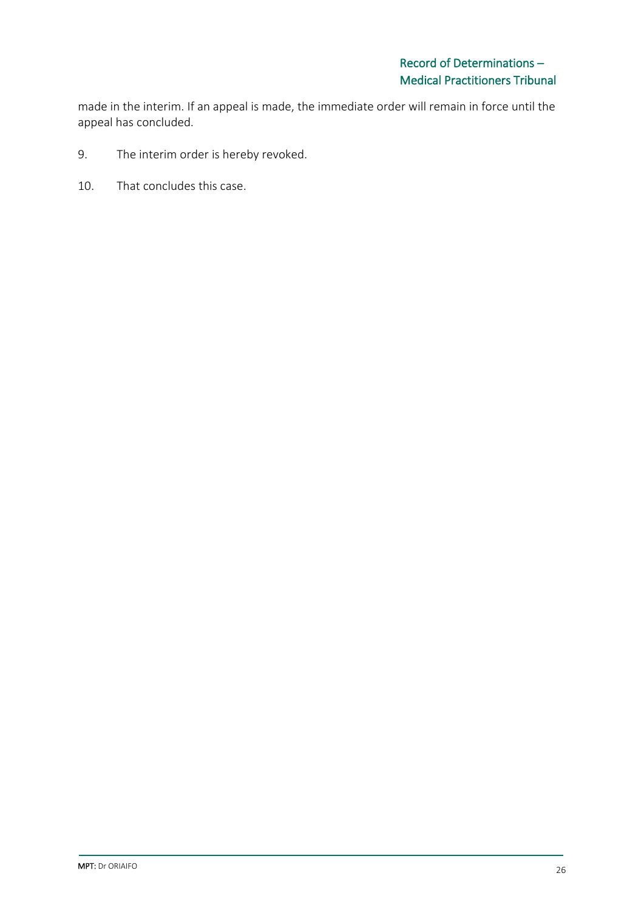made in the interim. If an appeal is made, the immediate order will remain in force until the appeal has concluded.

- 9. The interim order is hereby revoked.
- 10. That concludes this case.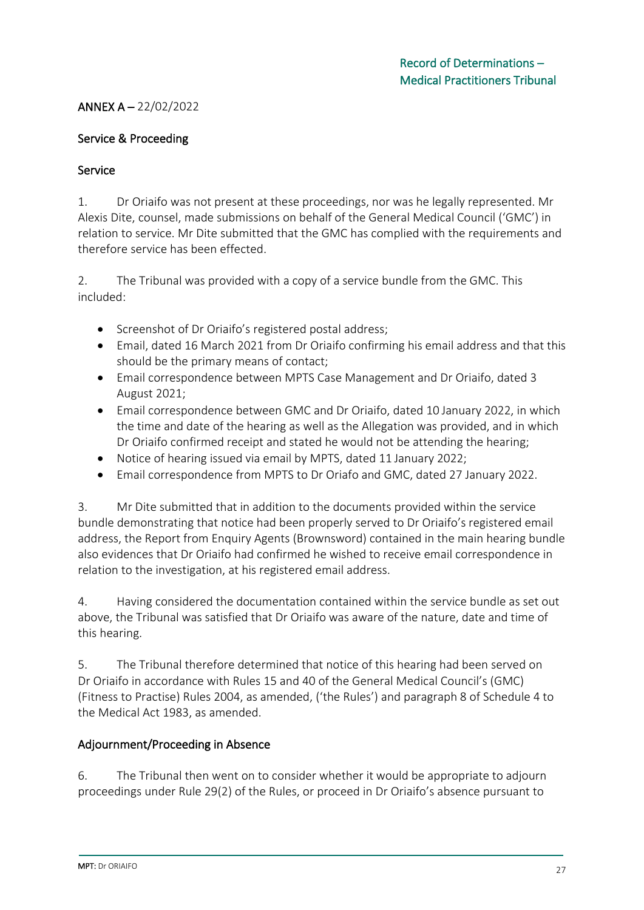### ANNEX A – 22/02/2022

#### Service & Proceeding

#### Service

1. Dr Oriaifo was not present at these proceedings, nor was he legally represented. Mr Alexis Dite, counsel, made submissions on behalf of the General Medical Council ('GMC') in relation to service. Mr Dite submitted that the GMC has complied with the requirements and therefore service has been effected.

2. The Tribunal was provided with a copy of a service bundle from the GMC. This included:

- Screenshot of Dr Oriaifo's registered postal address;
- Email, dated 16 March 2021 from Dr Oriaifo confirming his email address and that this should be the primary means of contact;
- Email correspondence between MPTS Case Management and Dr Oriaifo, dated 3 August 2021;
- Email correspondence between GMC and Dr Oriaifo, dated 10 January 2022, in which the time and date of the hearing as well as the Allegation was provided, and in which Dr Oriaifo confirmed receipt and stated he would not be attending the hearing;
- Notice of hearing issued via email by MPTS, dated 11 January 2022;
- Email correspondence from MPTS to Dr Oriafo and GMC, dated 27 January 2022.

3. Mr Dite submitted that in addition to the documents provided within the service bundle demonstrating that notice had been properly served to Dr Oriaifo's registered email address, the Report from Enquiry Agents (Brownsword) contained in the main hearing bundle also evidences that Dr Oriaifo had confirmed he wished to receive email correspondence in relation to the investigation, at his registered email address.

4. Having considered the documentation contained within the service bundle as set out above, the Tribunal was satisfied that Dr Oriaifo was aware of the nature, date and time of this hearing.

5. The Tribunal therefore determined that notice of this hearing had been served on Dr Oriaifo in accordance with Rules 15 and 40 of the General Medical Council's (GMC) (Fitness to Practise) Rules 2004, as amended, ('the Rules') and paragraph 8 of Schedule 4 to the Medical Act 1983, as amended.

#### Adjournment/Proceeding in Absence

6. The Tribunal then went on to consider whether it would be appropriate to adjourn proceedings under Rule 29(2) of the Rules, or proceed in Dr Oriaifo's absence pursuant to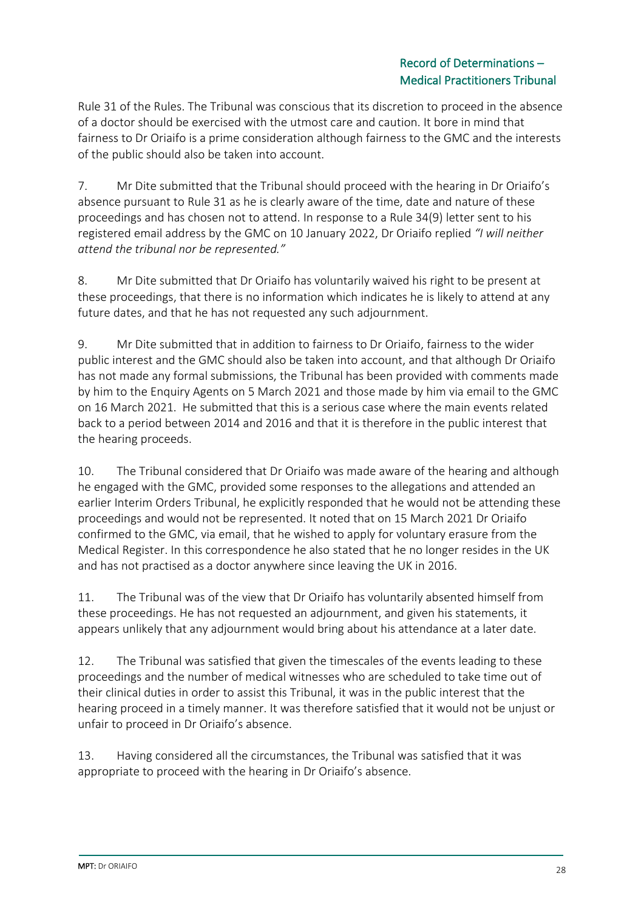### Record of Determinations – Medical Practitioners Tribunal

Rule 31 of the Rules. The Tribunal was conscious that its discretion to proceed in the absence of a doctor should be exercised with the utmost care and caution. It bore in mind that fairness to Dr Oriaifo is a prime consideration although fairness to the GMC and the interests of the public should also be taken into account.

7. Mr Dite submitted that the Tribunal should proceed with the hearing in Dr Oriaifo's absence pursuant to Rule 31 as he is clearly aware of the time, date and nature of these proceedings and has chosen not to attend. In response to a Rule 34(9) letter sent to his registered email address by the GMC on 10 January 2022, Dr Oriaifo replied *"I will neither attend the tribunal nor be represented."*

8. Mr Dite submitted that Dr Oriaifo has voluntarily waived his right to be present at these proceedings, that there is no information which indicates he is likely to attend at any future dates, and that he has not requested any such adjournment.

9. Mr Dite submitted that in addition to fairness to Dr Oriaifo, fairness to the wider public interest and the GMC should also be taken into account, and that although Dr Oriaifo has not made any formal submissions, the Tribunal has been provided with comments made by him to the Enquiry Agents on 5 March 2021 and those made by him via email to the GMC on 16 March 2021. He submitted that this is a serious case where the main events related back to a period between 2014 and 2016 and that it is therefore in the public interest that the hearing proceeds.

10. The Tribunal considered that Dr Oriaifo was made aware of the hearing and although he engaged with the GMC, provided some responses to the allegations and attended an earlier Interim Orders Tribunal, he explicitly responded that he would not be attending these proceedings and would not be represented. It noted that on 15 March 2021 Dr Oriaifo confirmed to the GMC, via email, that he wished to apply for voluntary erasure from the Medical Register. In this correspondence he also stated that he no longer resides in the UK and has not practised as a doctor anywhere since leaving the UK in 2016.

11. The Tribunal was of the view that Dr Oriaifo has voluntarily absented himself from these proceedings. He has not requested an adjournment, and given his statements, it appears unlikely that any adjournment would bring about his attendance at a later date.

12. The Tribunal was satisfied that given the timescales of the events leading to these proceedings and the number of medical witnesses who are scheduled to take time out of their clinical duties in order to assist this Tribunal, it was in the public interest that the hearing proceed in a timely manner. It was therefore satisfied that it would not be unjust or unfair to proceed in Dr Oriaifo's absence.

13. Having considered all the circumstances, the Tribunal was satisfied that it was appropriate to proceed with the hearing in Dr Oriaifo's absence.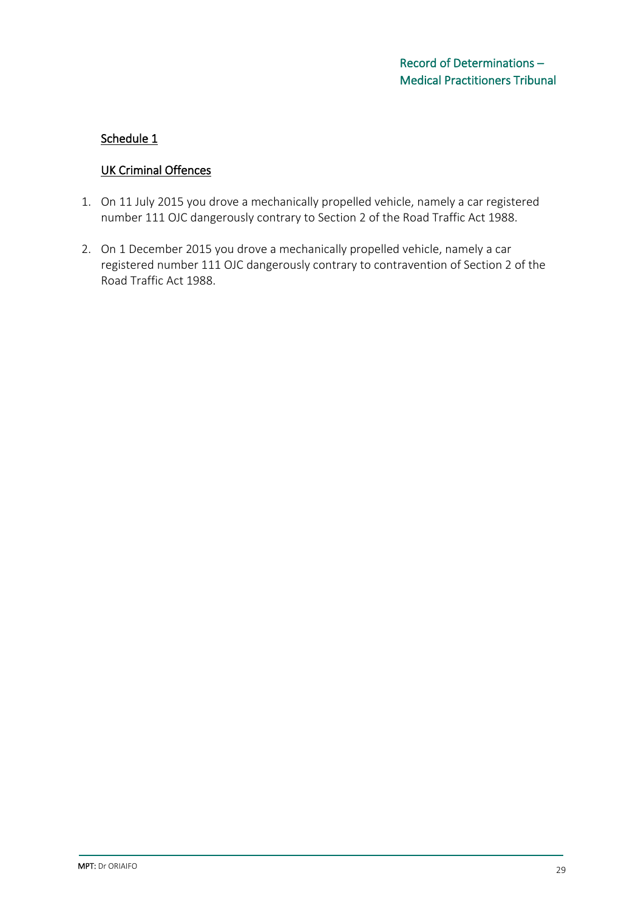### Schedule 1

### UK Criminal Offences

- 1. On 11 July 2015 you drove a mechanically propelled vehicle, namely a car registered number 111 OJC dangerously contrary to Section 2 of the Road Traffic Act 1988.
- 2. On 1 December 2015 you drove a mechanically propelled vehicle, namely a car registered number 111 OJC dangerously contrary to contravention of Section 2 of the Road Traffic Act 1988.